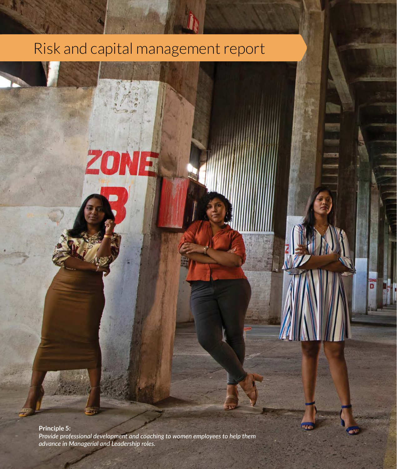### Risk and capital management report Risk and capital management report

ZONE<sub>1</sub>

**Principle 5:** *Provide professional development and coaching to women employees to help them advance in Managerial and Leadership roles.*

**154** MCB Group Limited Annual Report 2021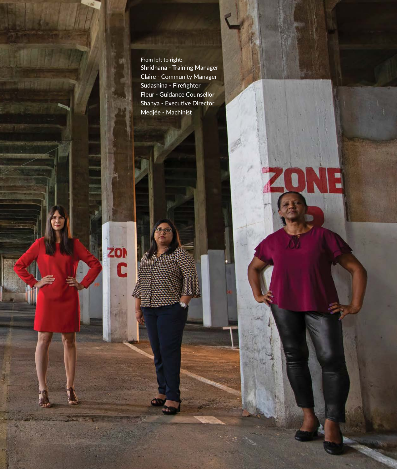From left to right: Shridhana - Training Manager Claire - Community Manager Sudashina - Firefighter Fleur - Guidance Counsellor Shanya - Executive Director Medjée - Machinist

ZON

 $\overline{\mathbf{c}}$ 

MCB Group Limited Annual Report 2021

m

**RISK AND CAPITAL MANAGEMENT REPORT**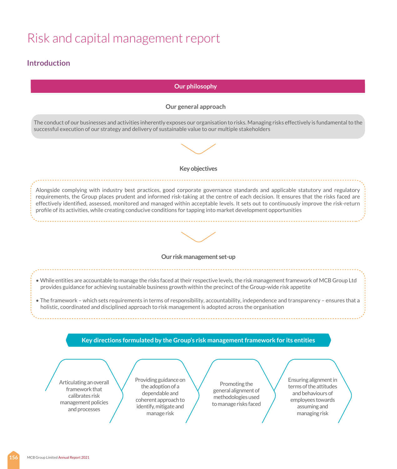### **Introduction**

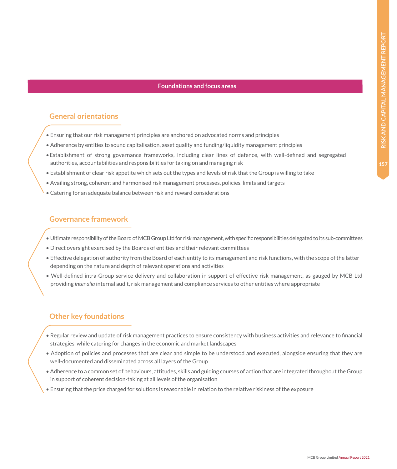#### **Foundations and focus areas**

#### **General orientations**

- Ensuring that our risk management principles are anchored on advocated norms and principles
- Adherence by entities to sound capitalisation, asset quality and funding/liquidity management principles
- •Establishment of strong governance frameworks, including clear lines of defence, with well-defined and segregated authorities, accountabilities and responsibilities for taking on and managing risk
- Establishment of clear risk appetite which sets out the types and levels of risk that the Group is willing to take
- Availing strong, coherent and harmonised risk management processes, policies, limits and targets
- Catering for an adequate balance between risk and reward considerations

#### **Governance framework**

- Ultimate responsibility of the Board of MCB Group Ltd for risk management, with specific responsibilities delegated to its sub-committees
- Direct oversight exercised by the Boards of entities and their relevant committees
- Effective delegation of authority from the Board of each entity to its management and risk functions, with the scope of the latter depending on the nature and depth of relevant operations and activities
- Well-defined intra-Group service delivery and collaboration in support of effective risk management, as gauged by MCB Ltd providing *inter alia* internal audit, risk management and compliance services to other entities where appropriate

#### **Other key foundations**

- Regular review and update of risk management practices to ensure consistency with business activities and relevance to financial strategies, while catering for changes in the economic and market landscapes
- Adoption of policies and processes that are clear and simple to be understood and executed, alongside ensuring that they are well-documented and disseminated across all layers of the Group
- Adherence to a common set of behaviours, attitudes, skills and guiding courses of action that are integrated throughout the Group in support of coherent decision-taking at all levels of the organisation
- Ensuring that the price charged for solutions is reasonable in relation to the relative riskiness of the exposure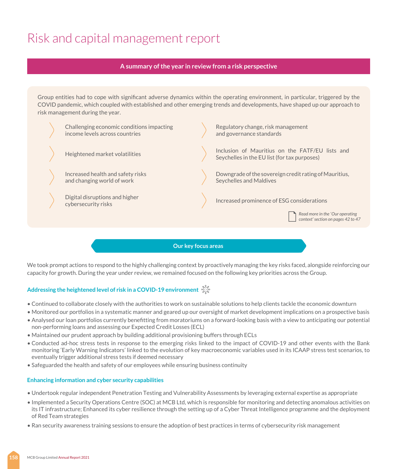#### **A summary of the year in review from a risk perspective**

Group entities had to cope with significant adverse dynamics within the operating environment, in particular, triggered by the COVID pandemic, which coupled with established and other emerging trends and developments, have shaped up our approach to risk management during the year.



**Our key focus areas**

We took prompt actions to respond to the highly challenging context by proactively managing the key risks faced, alongside reinforcing our capacity for growth. During the year under review, we remained focused on the following key priorities across the Group.

#### **Addressing the heightened level of risk in a COVID-19 environment**

- Continued to collaborate closely with the authorities to work on sustainable solutions to help clients tackle the economic downturn
- Monitored our portfolios in a systematic manner and geared up our oversight of market development implications on a prospective basis
- Analysed our loan portfolios currently benefitting from moratoriums on a forward-looking basis with a view to anticipating our potential non-performing loans and assessing our Expected Credit Losses (ECL)
- Maintained our prudent approach by building additional provisioning buffers through ECLs
- Conducted ad-hoc stress tests in response to the emerging risks linked to the impact of COVID-19 and other events with the Bank monitoring 'Early Warning Indicators' linked to the evolution of key macroeconomic variables used in its ICAAP stress test scenarios, to eventually trigger additional stress tests if deemed necessary
- Safeguarded the health and safety of our employees while ensuring business continuity

#### **Enhancing information and cyber security capabilities**

- Undertook regular independent Penetration Testing and Vulnerability Assessments by leveraging external expertise as appropriate
- Implemented a Security Operations Centre (SOC) at MCB Ltd, which is responsible for monitoring and detecting anomalous activities on its IT infrastructure; Enhanced its cyber resilience through the setting up of a Cyber Threat Intelligence programme and the deployment of Red Team strategies
- Ran security awareness training sessions to ensure the adoption of best practices in terms of cybersecurity risk management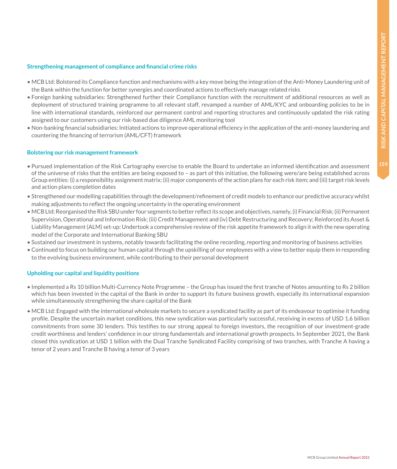#### **Strengthening management of compliance and financial crime risks**

- MCB Ltd: Bolstered its Compliance function and mechanisms with a key move being the integration of the Anti-Money Laundering unit of the Bank within the function for better synergies and coordinated actions to effectively manage related risks
- Foreign banking subsidiaries: Strengthened further their Compliance function with the recruitment of additional resources as well as deployment of structured training programme to all relevant staff, revamped a number of AML/KYC and onboarding policies to be in line with international standards, reinforced our permanent control and reporting structures and continuously updated the risk rating assigned to our customers using our risk-based due diligence AML monitoring tool
- Non-banking financial subsidiaries: Initiated actions to improve operational efficiency in the application of the anti-money laundering and countering the financing of terrorism (AML/CFT) framework

#### **Bolstering our risk management framework**

- Pursued implementation of the Risk Cartography exercise to enable the Board to undertake an informed identification and assessment of the universe of risks that the entities are being exposed to – as part of this initiative, the following were/are being established across Group entities: (i) a responsibility assignment matrix; (ii) major components of the action plans for each risk item; and (iii) target risk levels and action plans completion dates
- Strengthened our modelling capabilities through the development/refinement of credit models to enhance our predictive accuracy whilst making adjustments to reflect the ongoing uncertainty in the operating environment
- MCB Ltd: Reorganised the Risk SBU under four segments to better reflect its scope and objectives, namely, (i) Financial Risk; (ii) Permanent Supervision, Operational and Information Risk; (iii) Credit Management and (iv) Debt Restructuring and Recovery; Reinforced its Asset & Liability Management (ALM) set-up; Undertook a comprehensive review of the risk appetite framework to align it with the new operating model of the Corporate and International Banking SBU
- Sustained our investment in systems, notably towards facilitating the online recording, reporting and monitoring of business activities
- Continued to focus on building our human capital through the upskilling of our employees with a view to better equip them in responding to the evolving business environment, while contributing to their personal development

#### **Upholding our capital and liquidity positions**

- Implemented a Rs 10 billion Multi-Currency Note Programme the Group has issued the first tranche of Notes amounting to Rs 2 billion which has been invested in the capital of the Bank in order to support its future business growth, especially its international expansion while simultaneously strengthening the share capital of the Bank
- MCB Ltd: Engaged with the international wholesale markets to secure a syndicated facility as part of its endeavour to optimise it funding profile. Despite the uncertain market conditions, this new syndication was particularly successful, receiving in excess of USD 1.6 billion commitments from some 30 lenders. This testifies to our strong appeal to foreign investors, the recognition of our investment-grade credit worthiness and lenders' confidence in our strong fundamentals and international growth prospects. In September 2021, the Bank closed this syndication at USD 1 billion with the Dual Tranche Syndicated Facility comprising of two tranches, with Tranche A having a tenor of 2 years and Tranche B having a tenor of 3 years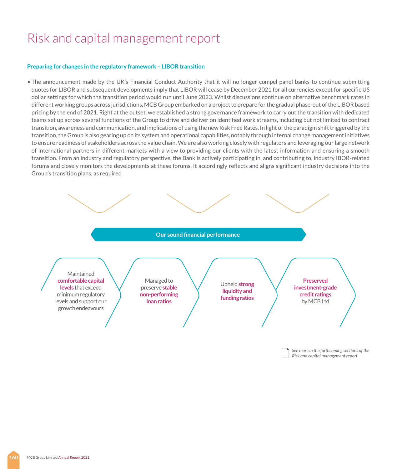#### **Preparing for changes in the regulatory framework – LIBOR transition**

• The announcement made by the UK's Financial Conduct Authority that it will no longer compel panel banks to continue submitting quotes for LIBOR and subsequent developments imply that LIBOR will cease by December 2021 for all currencies except for specific US dollar settings for which the transition period would run until June 2023. Whilst discussions continue on alternative benchmark rates in different working groups across jurisdictions, MCB Group embarked on a project to prepare for the gradual phase-out of the LIBOR based pricing by the end of 2021. Right at the outset, we established a strong governance framework to carry out the transition with dedicated teams set up across several functions of the Group to drive and deliver on identified work streams, including but not limited to contract transition, awareness and communication, and implications of using the new Risk Free Rates. In light of the paradigm shift triggered by the transition, the Group is also gearing up on its system and operational capabilities, notably through internal change management initiatives to ensure readiness of stakeholders across the value chain. We are also working closely with regulators and leveraging our large network of international partners in different markets with a view to providing our clients with the latest information and ensuring a smooth transition. From an industry and regulatory perspective, the Bank is actively participating in, and contributing to, industry IBOR-related forums and closely monitors the developments at these forums. It accordingly reflects and aligns significant industry decisions into the Group's transition plans, as required



*See more in the forthcoming sections of the Risk and capital management report*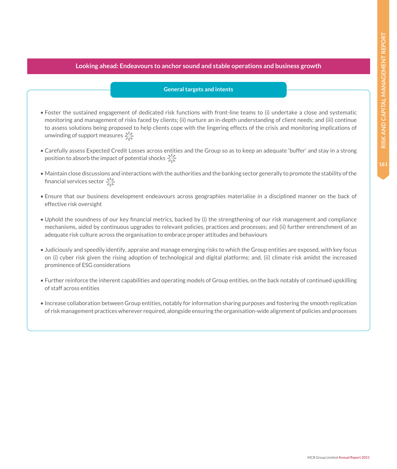#### **Looking ahead: Endeavours to anchor sound and stable operations and business growth**

#### **General targets and intents**

- Foster the sustained engagement of dedicated risk functions with front-line teams to (i) undertake a close and systematic monitoring and management of risks faced by clients; (ii) nurture an in-depth understanding of client needs; and (iii) continue to assess solutions being proposed to help clients cope with the lingering effects of the crisis and monitoring implications of unwinding of support measures  $\frac{35}{100}$
- Carefully assess Expected Credit Losses across entities and the Group so as to keep an adequate 'buffer' and stay in a strong position to absorb the impact of potential shocks  $\gg$
- Maintain close discussions and interactions with the authorities and the banking sector generally to promote the stability of the financial services sector  $\mathcal{X}$
- Ensure that our business development endeavours across geographies materialise in a disciplined manner on the back of effective risk oversight
- Uphold the soundness of our key financial metrics, backed by (i) the strengthening of our risk management and compliance mechanisms, aided by continuous upgrades to relevant policies, practices and processes; and (ii) further entrenchment of an adequate risk culture across the organisation to embrace proper attitudes and behaviours
- Judiciously and speedily identify, appraise and manage emerging risks to which the Group entities are exposed, with key focus on (i) cyber risk given the rising adoption of technological and digital platforms; and, (ii) climate risk amidst the increased prominence of ESG considerations
- Further reinforce the inherent capabilities and operating models of Group entities, on the back notably of continued upskilling of staff across entities
- Increase collaboration between Group entities, notably for information sharing purposes and fostering the smooth replication of risk management practices wherever required, alongside ensuring the organisation-wide alignment of policies and processes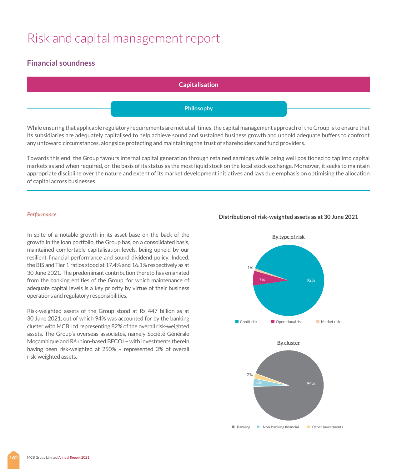### **Financial soundness**

**Capitalisation Philosophy**

While ensuring that applicable regulatory requirements are met at all times, the capital management approach of the Group is to ensure that its subsidiaries are adequately capitalised to help achieve sound and sustained business growth and uphold adequate buffers to confront any untoward circumstances, alongside protecting and maintaining the trust of shareholders and fund providers.

Towards this end, the Group favours internal capital generation through retained earnings while being well positioned to tap into capital markets as and when required, on the basis of its status as the most liquid stock on the local stock exchange. Moreover, it seeks to maintain appropriate discipline over the nature and extent of its market development initiatives and lays due emphasis on optimising the allocation of capital across businesses.

#### *Performance*

In spite of a notable growth in its asset base on the back of the growth in the loan portfolio, the Group has, on a consolidated basis, maintained comfortable capitalisation levels, being upheld by our resilient financial performance and sound dividend policy. Indeed, the BIS and Tier 1 ratios stood at 17.4% and 16.1% respectively as at 30 June 2021. The predominant contribution thereto has emanated from the banking entities of the Group, for which maintenance of adequate capital levels is a key priority by virtue of their business operations and regulatory responsibilities.

Risk-weighted assets of the Group stood at Rs 447 billion as at 30 June 2021, out of which 94% was accounted for by the banking cluster with MCB Ltd representing 82% of the overall risk-weighted assets. The Group's overseas associates, namely Société Générale Moçambique and Réunion-based BFCOI – with investments therein having been risk-weighted at 250% – represented 3% of overall risk-weighted assets.

#### **Distribution of risk-weighted assets as at 30 June 2021**

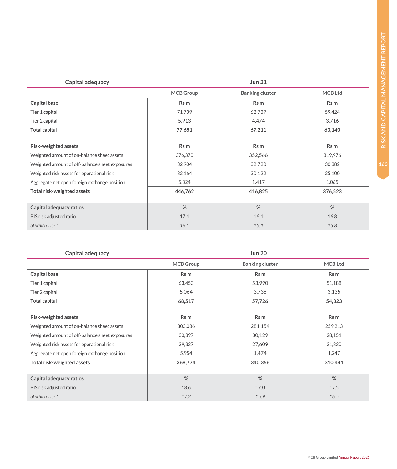|                                                | <b>MCB</b> Group | <b>Banking cluster</b> | <b>MCB Ltd</b> |
|------------------------------------------------|------------------|------------------------|----------------|
| Capital base                                   | Rs m             | Rs m                   | Rs m           |
| Tier 1 capital                                 | 71,739           | 62,737                 | 59,424         |
| Tier 2 capital                                 | 5,913            | 4,474                  | 3,716          |
| Total capital                                  | 77,651           | 67,211                 | 63,140         |
| Risk-weighted assets                           | Rs m             | Rs m                   | Rs m           |
| Weighted amount of on-balance sheet assets     | 376,370          | 352,566                | 319,976        |
| Weighted amount of off-balance sheet exposures | 32,904           | 32,720                 | 30,382         |
| Weighted risk assets for operational risk      | 32,164           | 30,122                 | 25,100         |
| Aggregate net open foreign exchange position   | 5,324            | 1,417                  | 1,065          |
| Total risk-weighted assets                     | 446,762          | 416,825                | 376,523        |
|                                                |                  |                        |                |
| Capital adequacy ratios                        | %                | %                      | %              |
| BIS risk adjusted ratio                        | 17.4             | 16.1                   | 16.8           |
| of which Tier 1                                | 16.1             | 15.1                   | 15.8           |

**Capital adequacy Jun 21**

| Capital adequacy<br><b>Jun 20</b>              |                  |                        |                |
|------------------------------------------------|------------------|------------------------|----------------|
|                                                | <b>MCB</b> Group | <b>Banking cluster</b> | <b>MCB Ltd</b> |
| Capital base                                   | Rs m             | Rs m                   | Rs m           |
| Tier 1 capital                                 | 63,453           | 53,990                 | 51,188         |
| Tier 2 capital                                 | 5,064            | 3,736                  | 3,135          |
| <b>Total capital</b>                           | 68,517           | 57,726                 | 54,323         |
|                                                |                  |                        |                |
| Risk-weighted assets                           | Rs m             | Rs m                   | Rs m           |
| Weighted amount of on-balance sheet assets     | 303,086          | 281,154                | 259,213        |
| Weighted amount of off-balance sheet exposures | 30,397           | 30,129                 | 28,151         |
| Weighted risk assets for operational risk      | 29,337           | 27,609                 | 21,830         |
| Aggregate net open foreign exchange position   | 5,954            | 1,474                  | 1,247          |
| Total risk-weighted assets                     | 368,774          | 340,366                | 310,441        |
|                                                |                  |                        |                |
| Capital adequacy ratios                        | %                | %                      | %              |
| BIS risk adjusted ratio                        | 18.6             | 17.0                   | 17.5           |
| of which Tier 1                                | 17.2             | 15.9                   | 16.5           |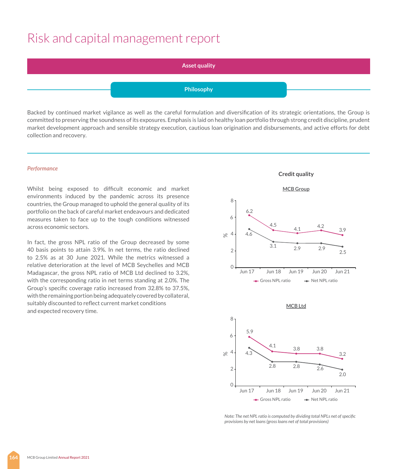#### **Asset quality**

#### **Philosophy**

Backed by continued market vigilance as well as the careful formulation and diversification of its strategic orientations, the Group is committed to preserving the soundness of its exposures. Emphasis is laid on healthy loan portfolio through strong credit discipline, prudent market development approach and sensible strategy execution, cautious loan origination and disbursements, and active efforts for debt collection and recovery.

#### *Performance*

Whilst being exposed to difficult economic and market environments induced by the pandemic across its presence countries, the Group managed to uphold the general quality of its portfolio on the back of careful market endeavours and dedicated measures taken to face up to the tough conditions witnessed across economic sectors.

In fact, the gross NPL ratio of the Group decreased by some 40 basis points to attain 3.9%. In net terms, the ratio declined to 2.5% as at 30 June 2021. While the metrics witnessed a relative deterioration at the level of MCB Seychelles and MCB Madagascar, the gross NPL ratio of MCB Ltd declined to 3.2%, with the corresponding ratio in net terms standing at 2.0%. The Group's specific coverage ratio increased from 32.8% to 37.5%, with the remaining portion being adequately covered by collateral, suitably discounted to reflect current market conditions and expected recovery time.







*Note: The net NPL ratio is computed by dividing total NPLs net of specific provisions by net loans (gross loans net of total provisions)*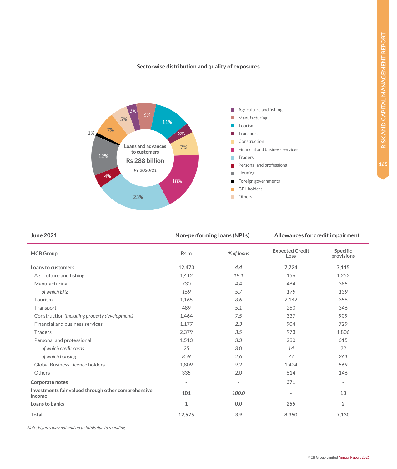#### **Sectorwise distribution and quality of exposures**



**June 2021 Non-performing loans (NPLs)** Allowances for credit impairment

|  |  | Allowances for credit impairment |  |  |  |  |  |  |  |  |
|--|--|----------------------------------|--|--|--|--|--|--|--|--|
|--|--|----------------------------------|--|--|--|--|--|--|--|--|

| <b>MCB</b> Group                                              | Rs m           | % of loans               | <b>Expected Credit</b><br>Loss | Specific<br>provisions   |
|---------------------------------------------------------------|----------------|--------------------------|--------------------------------|--------------------------|
| Loans to customers                                            | 12,473         | 4.4                      | 7,724                          | 7,115                    |
| Agriculture and fishing                                       | 1,412          | 18.1                     | 156                            | 1,252                    |
| Manufacturing                                                 | 730            | 4.4                      | 484                            | 385                      |
| of which EPZ                                                  | 159            | 5.7                      | 179                            | 139                      |
| Tourism                                                       | 1,165          | 3.6                      | 2,142                          | 358                      |
| Transport                                                     | 489            | 5.1                      | 260                            | 346                      |
| Construction (including property development)                 | 1,464          | 7.5                      | 337                            | 909                      |
| Financial and business services                               | 1.177          | 2.3                      | 904                            | 729                      |
| Traders                                                       | 2,379          | 3.5                      | 973                            | 1,806                    |
| Personal and professional                                     | 1,513          | 3.3                      | 230                            | 615                      |
| of which credit cards                                         | 25             | 3.0                      | 14                             | 22                       |
| of which housing                                              | 859            | 2.6                      | 77                             | 261                      |
| Global Business Licence holders                               | 1.809          | 9.2                      | 1,424                          | 569                      |
| Others                                                        | 335            | 2.0                      | 814                            | 146                      |
| Corporate notes                                               | $\blacksquare$ | $\overline{\phantom{a}}$ | 371                            | $\overline{\phantom{0}}$ |
| Investments fair valued through other comprehensive<br>income | 101            | 100.0                    |                                | 13                       |
| Loans to banks                                                | 1              | 0.0                      | 255                            | $\overline{2}$           |
| Total                                                         | 12,575         | 3.9                      | 8,350                          | 7,130                    |

*Note: Figures may not add up to totals due to rounding*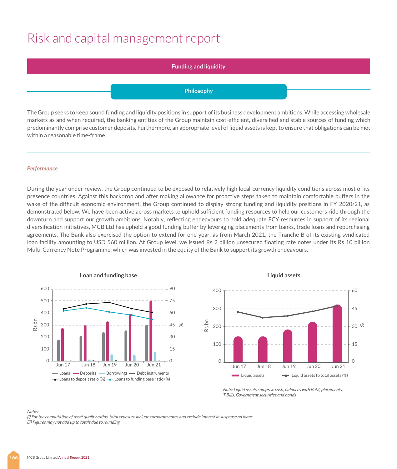#### **Funding and liquidity**

#### **Philosophy**

The Group seeks to keep sound funding and liquidity positions in support of its business development ambitions. While accessing wholesale markets as and when required, the banking entities of the Group maintain cost-efficient, diversified and stable sources of funding which predominantly comprise customer deposits. Furthermore, an appropriate level of liquid assets is kept to ensure that obligations can be met within a reasonable time-frame.

#### *Performance*

During the year under review, the Group continued to be exposed to relatively high local-currency liquidity conditions across most of its presence countries. Against this backdrop and after making allowance for proactive steps taken to maintain comfortable buffers in the wake of the difficult economic environment, the Group continued to display strong funding and liquidity positions in FY 2020/21, as demonstrated below. We have been active across markets to uphold sufficient funding resources to help our customers ride through the downturn and support our growth ambitions. Notably, reflecting endeavours to hold adequate FCY resources in support of its regional diversification initiatives, MCB Ltd has upheld a good funding buffer by leveraging placements from banks, trade loans and repurchasing agreements. The Bank also exercised the option to extend for one year, as from March 2021, the Tranche B of its existing syndicated loan facility amounting to USD 560 million. At Group level, we issued Rs 2 billion unsecured floating rate notes under its Rs 10 billion Multi-Currency Note Programme, which was invested in the equity of the Bank to support its growth endeavours.



#### **Liquid assets**



*Note: Liquid assets comprise cash, balances with BoM, placements, T-Bills, Government securities and bonds*

#### *Notes:*

*(i) For the computation of asset quality ratios, total exposure include corporate notes and exclude interest in suspense on loans (ii) Figures may not add up to totals due to rounding*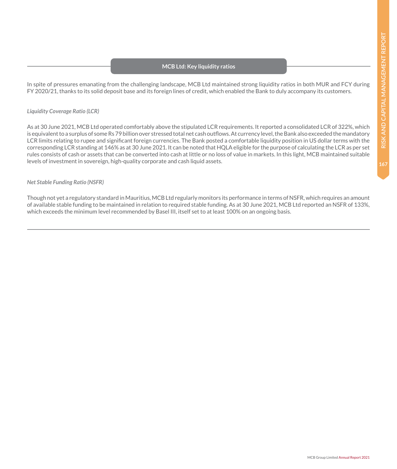#### **MCB Ltd: Key liquidity ratios**

In spite of pressures emanating from the challenging landscape, MCB Ltd maintained strong liquidity ratios in both MUR and FCY during FY 2020/21, thanks to its solid deposit base and its foreign lines of credit, which enabled the Bank to duly accompany its customers.

#### *Liquidity Coverage Ratio (LCR)*

As at 30 June 2021, MCB Ltd operated comfortably above the stipulated LCR requirements. It reported a consolidated LCR of 322%, which is equivalent to a surplus of some Rs 79 billion over stressed total net cash outflows. At currency level, the Bank also exceeded the mandatory LCR limits relating to rupee and significant foreign currencies. The Bank posted a comfortable liquidity position in US dollar terms with the corresponding LCR standing at 146% as at 30 June 2021. It can be noted that HQLA eligible for the purpose of calculating the LCR as per set rules consists of cash or assets that can be converted into cash at little or no loss of value in markets. In this light, MCB maintained suitable levels of investment in sovereign, high-quality corporate and cash liquid assets.

#### *Net Stable Funding Ratio (NSFR)*

Though not yet a regulatory standard in Mauritius, MCB Ltd regularly monitors its performance in terms of NSFR, which requires an amount of available stable funding to be maintained in relation to required stable funding. As at 30 June 2021, MCB Ltd reported an NSFR of 133%, which exceeds the minimum level recommended by Basel III, itself set to at least 100% on an ongoing basis.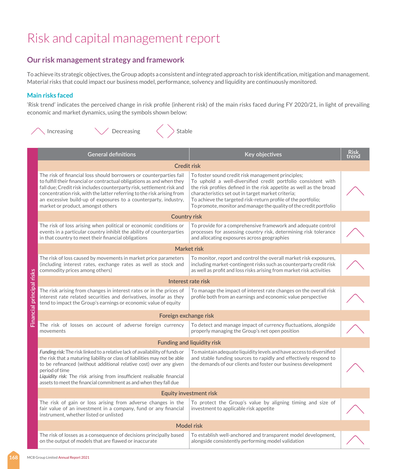### **Our risk management strategy and framework**

To achieve its strategic objectives, the Group adopts a consistent and integrated approach to risk identification, mitigation and management. Material risks that could impact our business model, performance, solvency and liquidity are continuously monitored.

#### **Main risks faced**

'Risk trend' indicates the perceived change in risk profile (inherent risk) of the main risks faced during FY 2020/21, in light of prevailing economic and market dynamics, using the symbols shown below:

|                           | Decreasing<br>Stable<br>Increasing                                                                                                                                                                                                                                                                                                                                                                      |                                                                                                                                                                                                                                                                                                                                                                                         |                      |
|---------------------------|---------------------------------------------------------------------------------------------------------------------------------------------------------------------------------------------------------------------------------------------------------------------------------------------------------------------------------------------------------------------------------------------------------|-----------------------------------------------------------------------------------------------------------------------------------------------------------------------------------------------------------------------------------------------------------------------------------------------------------------------------------------------------------------------------------------|----------------------|
|                           | <b>General definitions</b>                                                                                                                                                                                                                                                                                                                                                                              | Key objectives                                                                                                                                                                                                                                                                                                                                                                          | <u>Risk</u><br>trend |
|                           | <b>Credit risk</b>                                                                                                                                                                                                                                                                                                                                                                                      |                                                                                                                                                                                                                                                                                                                                                                                         |                      |
|                           | The risk of financial loss should borrowers or counterparties fail<br>to fulfill their financial or contractual obligations as and when they<br>fall due; Credit risk includes counterparty risk, settlement risk and<br>concentration risk, with the latter referring to the risk arising from<br>an excessive build-up of exposures to a counterparty, industry,<br>market or product, amongst others | To foster sound credit risk management principles;<br>To uphold a well-diversified credit portfolio consistent with<br>the risk profiles defined in the risk appetite as well as the broad<br>characteristics set out in target market criteria;<br>To achieve the targeted risk-return profile of the portfolio;<br>To promote, monitor and manage the quality of the credit portfolio |                      |
|                           | <b>Country risk</b>                                                                                                                                                                                                                                                                                                                                                                                     |                                                                                                                                                                                                                                                                                                                                                                                         |                      |
|                           | The risk of loss arising when political or economic conditions or<br>events in a particular country inhibit the ability of counterparties<br>in that country to meet their financial obligations                                                                                                                                                                                                        | To provide for a comprehensive framework and adequate control<br>processes for assessing country risk, determining risk tolerance<br>and allocating exposures across geographies                                                                                                                                                                                                        |                      |
|                           |                                                                                                                                                                                                                                                                                                                                                                                                         | Market risk                                                                                                                                                                                                                                                                                                                                                                             |                      |
|                           | The risk of loss caused by movements in market price parameters<br>(including interest rates, exchange rates as well as stock and<br>commodity prices among others)                                                                                                                                                                                                                                     | To monitor, report and control the overall market risk exposures,<br>including market-contingent risks such as counterparty credit risk<br>as well as profit and loss risks arising from market risk activities                                                                                                                                                                         |                      |
|                           |                                                                                                                                                                                                                                                                                                                                                                                                         | Interest rate risk                                                                                                                                                                                                                                                                                                                                                                      |                      |
| Financial principal risks | The risk arising from changes in interest rates or in the prices of<br>interest rate related securities and derivatives, insofar as they<br>tend to impact the Group's earnings or economic value of equity                                                                                                                                                                                             | To manage the impact of interest rate changes on the overall risk<br>profile both from an earnings and economic value perspective                                                                                                                                                                                                                                                       |                      |
|                           | Foreign exchange risk                                                                                                                                                                                                                                                                                                                                                                                   |                                                                                                                                                                                                                                                                                                                                                                                         |                      |
|                           | The risk of losses on account of adverse foreign currency<br>movements                                                                                                                                                                                                                                                                                                                                  | To detect and manage impact of currency fluctuations, alongside<br>properly managing the Group's net open position                                                                                                                                                                                                                                                                      |                      |
|                           |                                                                                                                                                                                                                                                                                                                                                                                                         | <b>Funding and liquidity risk</b>                                                                                                                                                                                                                                                                                                                                                       |                      |
|                           | Funding risk: The risk linked to a relative lack of availability of funds or<br>the risk that a maturing liability or class of liabilities may not be able<br>to be refinanced (without additional relative cost) over any given<br>period of time<br>Liquidity risk: The risk arising from insufficient realisable financial<br>assets to meet the financial commitment as and when they fall due      | To maintain adequate liquidity levels and have access to diversified<br>and stable funding sources to rapidly and effectively respond to<br>the demands of our clients and foster our business development                                                                                                                                                                              |                      |
|                           |                                                                                                                                                                                                                                                                                                                                                                                                         | <b>Equity investment risk</b>                                                                                                                                                                                                                                                                                                                                                           |                      |
|                           | The risk of gain or loss arising from adverse changes in the<br>fair value of an investment in a company, fund or any financial<br>instrument, whether listed or unlisted                                                                                                                                                                                                                               | To protect the Group's value by aligning timing and size of<br>investment to applicable risk appetite                                                                                                                                                                                                                                                                                   |                      |
|                           |                                                                                                                                                                                                                                                                                                                                                                                                         | <b>Model risk</b>                                                                                                                                                                                                                                                                                                                                                                       |                      |
|                           | The risk of losses as a consequence of decisions principally based<br>on the output of models that are flawed or inaccurate                                                                                                                                                                                                                                                                             | To establish well-anchored and transparent model development,<br>alongside consistently performing model validation                                                                                                                                                                                                                                                                     |                      |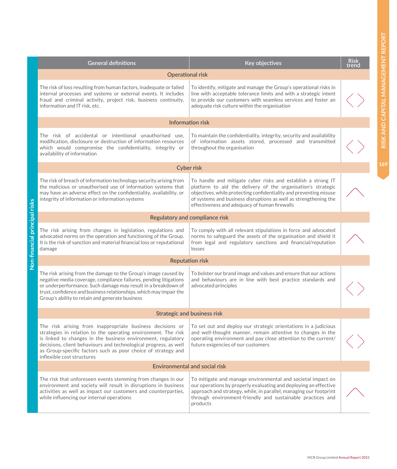| <b>Operational risk</b><br>The risk of loss resulting from human factors, inadequate or failed<br>To identify, mitigate and manage the Group's operational risks in<br>internal processes and systems or external events. It includes<br>line with acceptable tolerance limits and with a strategic intent<br>fraud and criminal activity, project risk, business continuity,<br>to provide our customers with seamless services and foster an<br>adequate risk culture within the organisation<br>information and IT risk, etc.<br><b>Information risk</b>                                            |  |
|--------------------------------------------------------------------------------------------------------------------------------------------------------------------------------------------------------------------------------------------------------------------------------------------------------------------------------------------------------------------------------------------------------------------------------------------------------------------------------------------------------------------------------------------------------------------------------------------------------|--|
|                                                                                                                                                                                                                                                                                                                                                                                                                                                                                                                                                                                                        |  |
|                                                                                                                                                                                                                                                                                                                                                                                                                                                                                                                                                                                                        |  |
|                                                                                                                                                                                                                                                                                                                                                                                                                                                                                                                                                                                                        |  |
| The risk of accidental or intentional unauthorised use,<br>To maintain the confidentiality, integrity, security and availability<br>modification, disclosure or destruction of information resources<br>of information assets stored, processed and transmitted<br>which would compromise the confidentiality, integrity or<br>throughout the organisation<br>availability of information                                                                                                                                                                                                              |  |
| <b>Cyber risk</b>                                                                                                                                                                                                                                                                                                                                                                                                                                                                                                                                                                                      |  |
| The risk of breach of information technology security arising from<br>To handle and mitigate cyber risks and establish a strong IT<br>the malicious or unauthorised use of information systems that<br>platform to aid the delivery of the organisation's strategic<br>may have an adverse effect on the confidentiality, availability, or<br>objectives, while protecting confidentiality and preventing misuse<br>of systems and business disruptions as well as strengthening the<br>integrity of information or information systems<br>effectiveness and adequacy of human firewalls               |  |
| Regulatory and compliance risk                                                                                                                                                                                                                                                                                                                                                                                                                                                                                                                                                                         |  |
| The risk arising from changes in legislation, regulations and<br>To comply with all relevant stipulations in force and advocated<br>advocated norms on the operation and functioning of the Group.<br>norms to safeguard the assets of the organisation and shield it<br>It is the risk of sanction and material financial loss or reputational<br>from legal and regulatory sanctions and financial/reputation<br>damage<br>losses                                                                                                                                                                    |  |
| <b>Reputation risk</b>                                                                                                                                                                                                                                                                                                                                                                                                                                                                                                                                                                                 |  |
| The risk arising from the damage to the Group's image caused by<br>To bolster our brand image and values and ensure that our actions<br>negative media coverage, compliance failures, pending litigations<br>and behaviours are in line with best practice standards and<br>or underperformance. Such damage may result in a breakdown of<br>advocated principles<br>trust, confidence and business relationships, which may impair the<br>Group's ability to retain and generate business                                                                                                             |  |
| <b>Strategic and business risk</b>                                                                                                                                                                                                                                                                                                                                                                                                                                                                                                                                                                     |  |
| The risk arising from inappropriate business decisions or<br>To set out and deploy our strategic orientations in a judicious<br>strategies in relation to the operating environment. The risk<br>and well-thought manner, remain attentive to changes in the<br>operating environment and pay close attention to the current/<br>is linked to changes in the business environment, regulatory<br>decisions, client behaviours and technological progress, as well<br>future exigencies of our customers<br>as Group-specific factors such as poor choice of strategy and<br>inflexible cost structures |  |
| Environmental and social risk                                                                                                                                                                                                                                                                                                                                                                                                                                                                                                                                                                          |  |
| The risk that unforeseen events stemming from changes in our<br>To mitigate and manage environmental and societal impact on<br>environment and society will result in disruptions in business<br>our operations by properly evaluating and deploying an effective<br>activities as well as impact our customers and counterparties,<br>approach and strategy, while, in parallel, managing our footprint<br>while influencing our internal operations<br>through environment-friendly and sustainable practices and<br>products                                                                        |  |

**Non-financial principal risks** 

Non-financial principal risks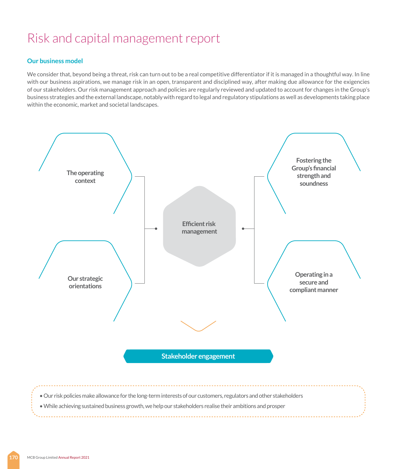#### **Our business model**

We consider that, beyond being a threat, risk can turn out to be a real competitive differentiator if it is managed in a thoughtful way. In line with our business aspirations, we manage risk in an open, transparent and disciplined way, after making due allowance for the exigencies of our stakeholders. Our risk management approach and policies are regularly reviewed and updated to account for changes in the Group's business strategies and the external landscape, notably with regard to legal and regulatory stipulations as well as developments taking place within the economic, market and societal landscapes.

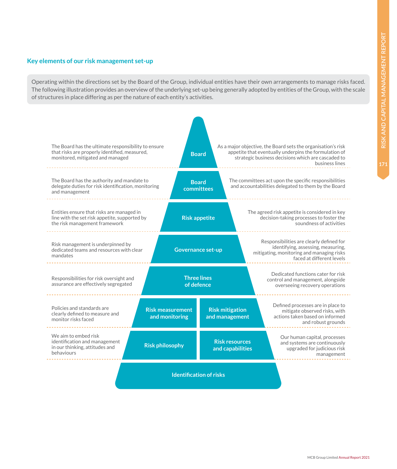#### **Key elements of our risk management set-up**

Operating within the directions set by the Board of the Group, individual entities have their own arrangements to manage risks faced. The following illustration provides an overview of the underlying set-up being generally adopted by entities of the Group, with the scale of structures in place differing as per the nature of each entity's activities.

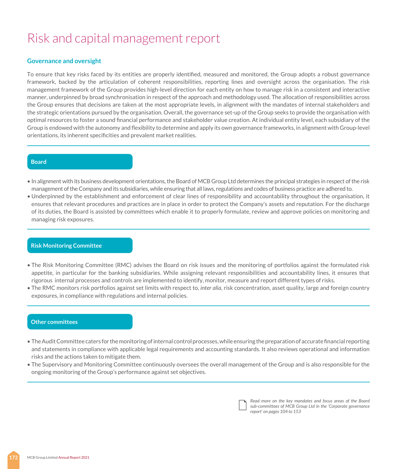#### **Governance and oversight**

To ensure that key risks faced by its entities are properly identified, measured and monitored, the Group adopts a robust governance framework, backed by the articulation of coherent responsibilities, reporting lines and oversight across the organisation. The risk management framework of the Group provides high-level direction for each entity on how to manage risk in a consistent and interactive manner, underpinned by broad synchronisation in respect of the approach and methodology used. The allocation of responsibilities across the Group ensures that decisions are taken at the most appropriate levels, in alignment with the mandates of internal stakeholders and the strategic orientations pursued by the organisation. Overall, the governance set-up of the Group seeks to provide the organisation with optimal resources to foster a sound financial performance and stakeholder value creation. At individual entity level, each subsidiary of the Group is endowed with the autonomy and flexibility to determine and apply its own governance frameworks, in alignment with Group-level orientations, its inherent specificities and prevalent market realities.

#### **Board**

- In alignment with its business development orientations, the Board of MCB Group Ltd determines the principal strategies in respect of the risk management of the Company and its subsidiaries, while ensuring that all laws, regulations and codes of business practice are adhered to.
- Underpinned by the establishment and enforcement of clear lines of responsibility and accountability throughout the organisation, it ensures that relevant procedures and practices are in place in order to protect the Company's assets and reputation. For the discharge of its duties, the Board is assisted by committees which enable it to properly formulate, review and approve policies on monitoring and managing risk exposures.

#### **Risk Monitoring Committee**

- The Risk Monitoring Committee (RMC) advises the Board on risk issues and the monitoring of portfolios against the formulated risk appetite, in particular for the banking subsidiaries. While assigning relevant responsibilities and accountability lines, it ensures that rigorous internal processes and controls are implemented to identify, monitor, measure and report different types of risks.
- The RMC monitors risk portfolios against set limits with respect to, *inter alia*, risk concentration, asset quality, large and foreign country exposures, in compliance with regulations and internal policies.

#### **Other committees**

- The Audit Committee caters for the monitoring of internal control processes, while ensuring the preparation of accurate financial reporting and statements in compliance with applicable legal requirements and accounting standards. It also reviews operational and information risks and the actions taken to mitigate them.
- The Supervisory and Monitoring Committee continuously oversees the overall management of the Group and is also responsible for the ongoing monitoring of the Group's performance against set objectives.

*Read more on the key mandates and focus areas of the Board sub-committees of MCB Group Ltd in the 'Corporate governance report' on pages 104 to 153*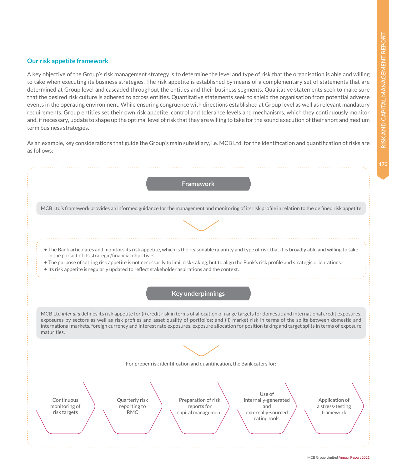**Our risk appetite framework**

A key objective of the Group's risk management strategy is to determine the level and type of risk that the organisation is able and willing to take when executing its business strategies. The risk appetite is established by means of a complementary set of statements that are determined at Group level and cascaded throughout the entities and their business segments. Qualitative statements seek to make sure that the desired risk culture is adhered to across entities. Quantitative statements seek to shield the organisation from potential adverse events in the operating environment. While ensuring congruence with directions established at Group level as well as relevant mandatory requirements, Group entities set their own risk appetite, control and tolerance levels and mechanisms, which they continuously monitor and, if necessary, update to shape up the optimal level of risk that they are willing to take for the sound execution of their short and medium term business strategies.

As an example, key considerations that guide the Group's main subsidiary, i.e. MCB Ltd, for the identification and quantification of risks are as follows:

| <b>Framework</b>                                                                                                                                                                                                                                                                                                                                                                                                                                                                   |
|------------------------------------------------------------------------------------------------------------------------------------------------------------------------------------------------------------------------------------------------------------------------------------------------------------------------------------------------------------------------------------------------------------------------------------------------------------------------------------|
| MCB Ltd's framework provides an informed guidance for the management and monitoring of its risk profile in relation to the de fined risk appetite                                                                                                                                                                                                                                                                                                                                  |
|                                                                                                                                                                                                                                                                                                                                                                                                                                                                                    |
| • The Bank articulates and monitors its risk appetite, which is the reasonable quantity and type of risk that it is broadly able and willing to take<br>in the pursuit of its strategic/financial objectives.<br>. The purpose of setting risk appetite is not necessarily to limit risk-taking, but to align the Bank's risk profile and strategic orientations.<br>• Its risk appetite is regularly updated to reflect stakeholder aspirations and the context.                  |
| <b>Key underpinnings</b>                                                                                                                                                                                                                                                                                                                                                                                                                                                           |
| MCB Ltd inter alia defines its risk appetite for (i) credit risk in terms of allocation of range targets for domestic and international credit exposures,<br>exposures by sectors as well as risk profiles and asset quality of portfolios; and (ii) market risk in terms of the splits between domestic and<br>international markets, foreign currency and interest rate exposures, exposure allocation for position taking and target splits in terms of exposure<br>maturities. |
|                                                                                                                                                                                                                                                                                                                                                                                                                                                                                    |
| For proper risk identification and quantification, the Bank caters for:                                                                                                                                                                                                                                                                                                                                                                                                            |
| Use of<br>Continuous<br>Quarterly risk<br>Preparation of risk<br>internally-generated<br>Application of<br>monitoring of<br>reporting to<br>reports for<br>and<br>a stress-testing<br>risk targets<br><b>RMC</b><br>externally-sourced<br>capital management<br>framework<br>rating tools                                                                                                                                                                                          |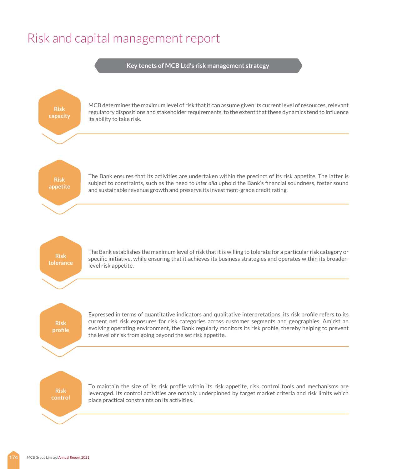**Key tenets of MCB Ltd's risk management strategy**

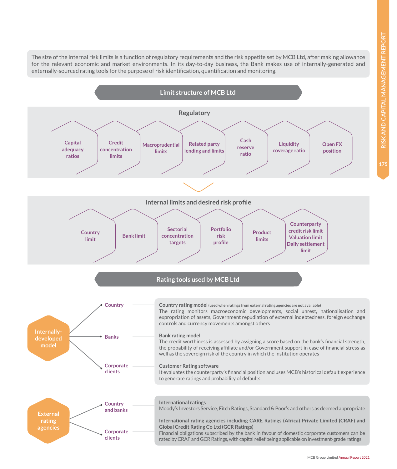RISK AND CAPITAL MANAGEMENT REPORT **RISK AND CAPITAL MANAGEMENT REPORT**

**175**

**Limit structure of MCB Ltd** The size of the internal risk limits is a function of regulatory requirements and the risk appetite set by MCB Ltd, after making allowance for the relevant economic and market environments. In its day-to-day business, the Bank makes use of internally-generated and externally-sourced rating tools for the purpose of risk identification, quantification and monitoring.

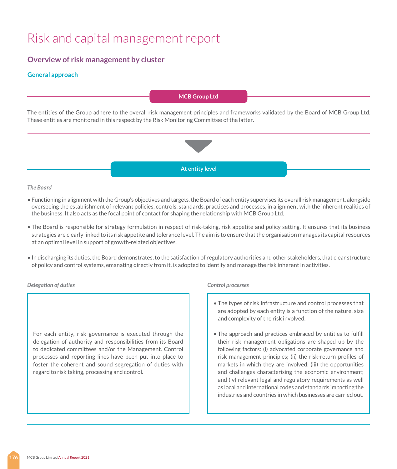#### **Overview of risk management by cluster**

#### **General approach**

#### **MCB Group Ltd**

The entities of the Group adhere to the overall risk management principles and frameworks validated by the Board of MCB Group Ltd. These entities are monitored in this respect by the Risk Monitoring Committee of the latter.



#### *The Board*

- Functioning in alignment with the Group's objectives and targets, the Board of each entity supervises its overall risk management, alongside overseeing the establishment of relevant policies, controls, standards, practices and processes, in alignment with the inherent realities of the business. It also acts as the focal point of contact for shaping the relationship with MCB Group Ltd.
- The Board is responsible for strategy formulation in respect of risk-taking, risk appetite and policy setting. It ensures that its business strategies are clearly linked to its risk appetite and tolerance level. The aim is to ensure that the organisation manages its capital resources at an optimal level in support of growth-related objectives.
- In discharging its duties, the Board demonstrates, to the satisfaction of regulatory authorities and other stakeholders, that clear structure of policy and control systems, emanating directly from it, is adopted to identify and manage the risk inherent in activities.

#### *Delegation of duties Control processes*

For each entity, risk governance is executed through the delegation of authority and responsibilities from its Board to dedicated committees and/or the Management. Control processes and reporting lines have been put into place to foster the coherent and sound segregation of duties with regard to risk taking, processing and control.

- The types of risk infrastructure and control processes that are adopted by each entity is a function of the nature, size and complexity of the risk involved.
- The approach and practices embraced by entities to fulfill their risk management obligations are shaped up by the following factors: (i) advocated corporate governance and risk management principles; (ii) the risk-return profiles of markets in which they are involved; (iii) the opportunities and challenges characterising the economic environment; and (iv) relevant legal and regulatory requirements as well as local and international codes and standards impacting the industries and countries in which businesses are carried out.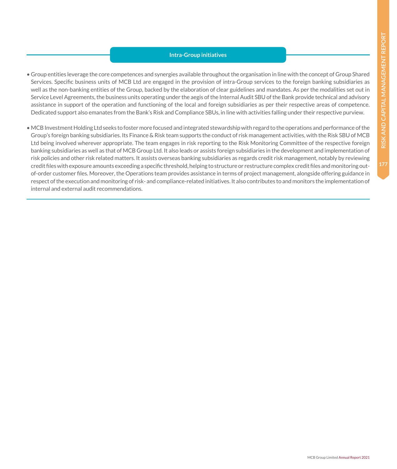#### **Intra-Group initiatives**

- Group entities leverage the core competences and synergies available throughout the organisation in line with the concept of Group Shared Services. Specific business units of MCB Ltd are engaged in the provision of intra-Group services to the foreign banking subsidiaries as well as the non-banking entities of the Group, backed by the elaboration of clear guidelines and mandates. As per the modalities set out in Service Level Agreements, the business units operating under the aegis of the Internal Audit SBU of the Bank provide technical and advisory assistance in support of the operation and functioning of the local and foreign subsidiaries as per their respective areas of competence. Dedicated support also emanates from the Bank's Risk and Compliance SBUs, in line with activities falling under their respective purview.
- MCB Investment Holding Ltd seeks to foster more focused and integrated stewardship with regard to the operations and performance of the Group's foreign banking subsidiaries. Its Finance & Risk team supports the conduct of risk management activities, with the Risk SBU of MCB Ltd being involved wherever appropriate. The team engages in risk reporting to the Risk Monitoring Committee of the respective foreign banking subsidiaries as well as that of MCB Group Ltd. It also leads or assists foreign subsidiaries in the development and implementation of risk policies and other risk related matters. It assists overseas banking subsidiaries as regards credit risk management, notably by reviewing credit files with exposure amounts exceeding a specific threshold, helping to structure or restructure complex credit files and monitoring outof-order customer files. Moreover, the Operations team provides assistance in terms of project management, alongside offering guidance in respect of the execution and monitoring of risk- and compliance-related initiatives. It also contributes to and monitors the implementation of internal and external audit recommendations.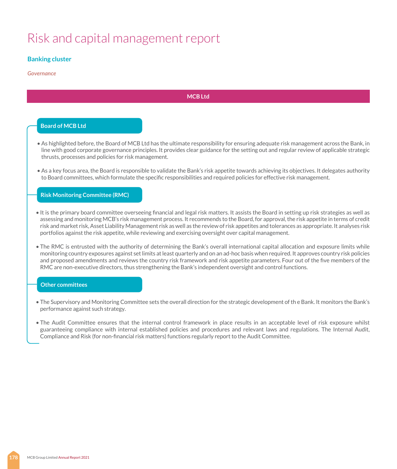#### **Banking cluster**

#### *Governance*

#### **MCB Ltd**

#### **Board of MCB Ltd**

- As highlighted before, the Board of MCB Ltd has the ultimate responsibility for ensuring adequate risk management across the Bank, in line with good corporate governance principles. It provides clear guidance for the setting out and regular review of applicable strategic thrusts, processes and policies for risk management.
- As a key focus area, the Board is responsible to validate the Bank's risk appetite towards achieving its objectives. It delegates authority to Board committees, which formulate the specific responsibilities and required policies for effective risk management.

#### **Risk Monitoring Committee (RMC)**

- It is the primary board committee overseeing financial and legal risk matters. It assists the Board in setting up risk strategies as well as assessing and monitoring MCB's risk management process. It recommends to the Board, for approval, the risk appetite in terms of credit risk and market risk, Asset Liability Management risk as well as the review of risk appetites and tolerances as appropriate. It analyses risk portfolios against the risk appetite, while reviewing and exercising oversight over capital management.
- The RMC is entrusted with the authority of determining the Bank's overall international capital allocation and exposure limits while monitoring country exposures against set limits at least quarterly and on an ad-hoc basis when required. It approves country risk policies and proposed amendments and reviews the country risk framework and risk appetite parameters. Four out of the five members of the RMC are non-executive directors, thus strengthening the Bank's independent oversight and control functions.

#### **Other committees**

- The Supervisory and Monitoring Committee sets the overall direction for the strategic development of th e Bank. It monitors the Bank's performance against such strategy.
- The Audit Committee ensures that the internal control framework in place results in an acceptable level of risk exposure whilst guaranteeing compliance with internal established policies and procedures and relevant laws and regulations. The Internal Audit, Compliance and Risk (for non-financial risk matters) functions regularly report to the Audit Committee.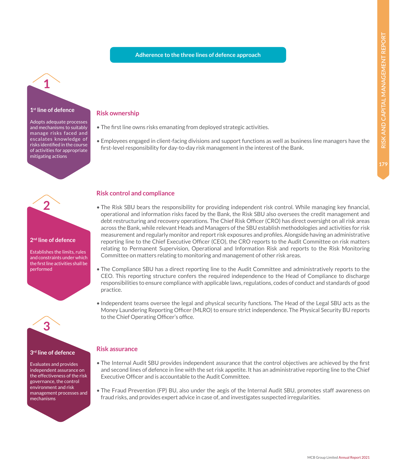#### **Adherence to the three lines of defence approach**

# **1 1st line of defence**

Adopts adequate processes and mechanisms to suitably manage risks faced and escalates knowledge of risks identified in the course of activities for appropriate mitigating actions

#### **Risk ownership**

- The first line owns risks emanating from deployed strategic activities.
- Employees engaged in client-facing divisions and support functions as well as business line managers have the first-level responsibility for day-to-day risk management in the interest of the Bank.

# **2**

#### **2nd line of defence**

Establishes the limits, rules and constraints under which the first line activities shall be performed



**3rd line of defence**

Evaluates and provides independent assurance on the effectiveness of the risk governance, the control environment and risk management processes and mechanisms

### **Risk control and compliance**

- The Risk SBU bears the responsibility for providing independent risk control. While managing key financial, operational and information risks faced by the Bank, the Risk SBU also oversees the credit management and debt restructuring and recovery operations. The Chief Risk Officer (CRO) has direct oversight on all risk areas across the Bank, while relevant Heads and Managers of the SBU establish methodologies and activities for risk measurement and regularly monitor and report risk exposures and profiles. Alongside having an administrative reporting line to the Chief Executive Officer (CEO), the CRO reports to the Audit Committee on risk matters relating to Permanent Supervision, Operational and Information Risk and reports to the Risk Monitoring Committee on matters relating to monitoring and management of other risk areas.
- The Compliance SBU has a direct reporting line to the Audit Committee and administratively reports to the CEO. This reporting structure confers the required independence to the Head of Compliance to discharge responsibilities to ensure compliance with applicable laws, regulations, codes of conduct and standards of good practice.
- Independent teams oversee the legal and physical security functions. The Head of the Legal SBU acts as the Money Laundering Reporting Officer (MLRO) to ensure strict independence. The Physical Security BU reports to the Chief Operating Officer's office.

#### **Risk assurance**

- The Internal Audit SBU provides independent assurance that the control objectives are achieved by the first and second lines of defence in line with the set risk appetite. It has an administrative reporting line to the Chief Executive Officer and is accountable to the Audit Committee.
- The Fraud Prevention (FP) BU, also under the aegis of the Internal Audit SBU, promotes staff awareness on fraud risks, and provides expert advice in case of, and investigates suspected irregularities.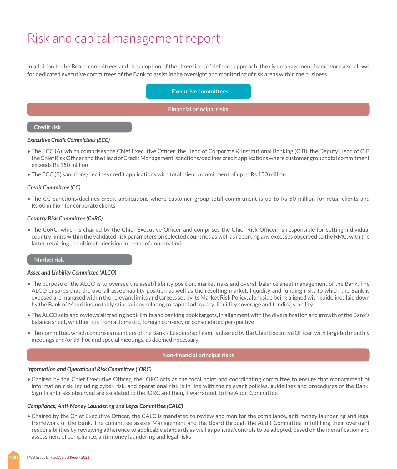In addition to the Board committees and the adoption of the three lines of defence approach, the risk management framework also allows for dedicated executive committees of the Bank to assist in the oversight and monitoring of risk areas within the business.

**Executive committees**

**Financial principal risks**

#### **Credit risk**

#### *Executive Credit Committees (ECC)*

- The ECC (A), which comprises the Chief Executive Officer, the Head of Corporate & Institutional Banking (CIB), the Deputy Head of CIB the Chief Risk Officer and the Head of Credit Management, sanctions/declines credit applications where customer group total commitment exceeds Rs 150 million
- The ECC (B) sanctions/declines credit applications with total client commitment of up to Rs 150 million

#### *Credit Committee (CC)*

• The CC sanctions/declines credit applications where customer group total commitment is up to Rs 50 million for retail clients and Rs 60 million for corporate clients

#### *Country Risk Committee (CoRC)*

• The CoRC, which is chaired by the Chief Executive Officer and comprises the Chief Risk Officer, is responsible for setting individual country limits within the validated risk parameters on selected countries as well as reporting any excesses observed to the RMC, with the latter retaining the ultimate decision in terms of country limit

#### **Market risk**

#### *Asset and Liability Committee (ALCO)*

- The purpose of the ALCO is to oversee the asset/liability position, market risks and overall balance sheet management of the Bank. The ALCO ensures that the overall asset/liability position as well as the resulting market, liquidity and funding risks to which the Bank is exposed are managed within the relevant limits and targets set by its Market Risk Policy, alongside being aligned with guidelines laid down by the Bank of Mauritius, notably stipulations relating to capital adequacy, liquidity coverage and funding stability
- The ALCO sets and reviews all trading book limits and banking book targets, in alignment with the diversification and growth of the Bank's balance sheet, whether it is from a domestic, foreign currency or consolidated perspective
- The committee, which comprises members of the Bank's Leadership Team, is chaired by the Chief Executive Officer, with targeted monthly meetings and/or ad-hoc and special meetings, as deemed necessary

#### **Non-financial principal risks**

#### *Information and Operational Risk Committee (IORC)*

• Chaired by the Chief Executive Officer, the IORC acts as the focal point and coordinating committee to ensure that management of information risk, including cyber risk, and operational risk is in line with the relevant policies, guidelines and procedures of the Bank. Significant risks observed are escalated to the IORC and then, if warranted, to the Audit Committee

#### *Compliance, Anti-Money Laundering and Legal Committee (CALC)*

• Chaired by the Chief Executive Officer, the CALC is mandated to review and monitor the compliance, anti-money laundering and legal framework of the Bank. The committee assists Management and the Board through the Audit Committee in fulfilling their oversight responsibilities by reviewing adherence to applicable standards as well as policies/controls to be adopted, based on the identification and assessment of compliance, anti-money laundering and legal risks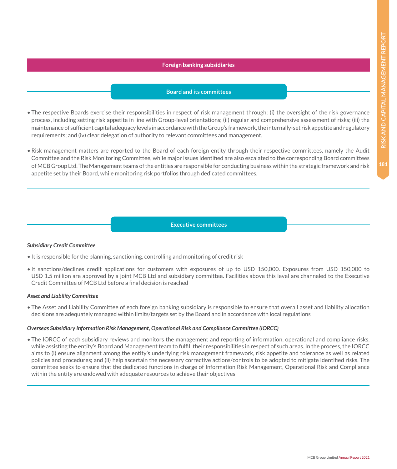#### **Foreign banking subsidiaries**

#### **Board and its committees**

- The respective Boards exercise their responsibilities in respect of risk management through: (i) the oversight of the risk governance process, including setting risk appetite in line with Group-level orientations; (ii) regular and comprehensive assessment of risks; (iii) the maintenance of sufficient capital adequacy levels in accordance with the Group's framework, the internally-set risk appetite and regulatory requirements; and (iv) clear delegation of authority to relevant committees and management.
- Risk management matters are reported to the Board of each foreign entity through their respective committees, namely the Audit Committee and the Risk Monitoring Committee, while major issues identified are also escalated to the corresponding Board committees of MCB Group Ltd. The Management teams of the entities are responsible for conducting business within the strategic framework and risk appetite set by their Board, while monitoring risk portfolios through dedicated committees.

#### **Executive committees**

#### *Subsidiary Credit Committee*

- It is responsible for the planning, sanctioning, controlling and monitoring of credit risk
- It sanctions/declines credit applications for customers with exposures of up to USD 150,000. Exposures from USD 150,000 to USD 1.5 million are approved by a joint MCB Ltd and subsidiary committee. Facilities above this level are channeled to the Executive Credit Committee of MCB Ltd before a final decision is reached

#### *Asset and Liability Committee*

• The Asset and Liability Committee of each foreign banking subsidiary is responsible to ensure that overall asset and liability allocation decisions are adequately managed within limits/targets set by the Board and in accordance with local regulations

#### *Overseas Subsidiary Information Risk Management, Operational Risk and Compliance Committee (IORCC)*

• The IORCC of each subsidiary reviews and monitors the management and reporting of information, operational and compliance risks, while assisting the entity's Board and Management team to fulfill their responsibilities in respect of such areas. In the process, the IORCC aims to (i) ensure alignment among the entity's underlying risk management framework, risk appetite and tolerance as well as related policies and procedures; and (ii) help ascertain the necessary corrective actions/controls to be adopted to mitigate identified risks. The committee seeks to ensure that the dedicated functions in charge of Information Risk Management, Operational Risk and Compliance within the entity are endowed with adequate resources to achieve their objectives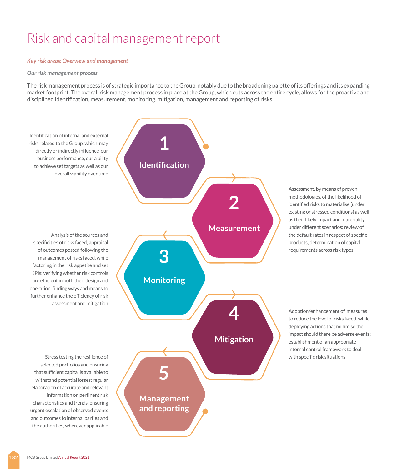#### *Key risk areas: Overview and management*

#### *Our risk management process*

The risk management process is of strategic importance to the Group, notably due to the broadening palette of its offerings and its expanding market footprint. The overall risk management process in place at the Group, which cuts across the entire cycle, allows for the proactive and disciplined identification, measurement, monitoring, mitigation, management and reporting of risks.

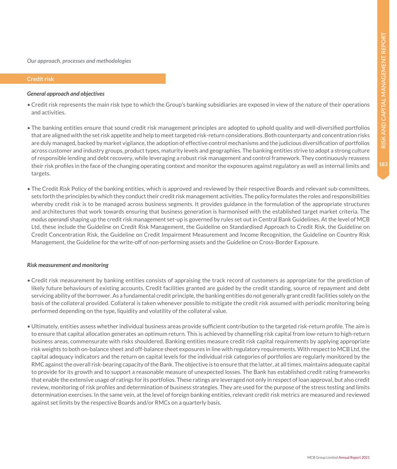*Our approach, processes and methodologies*

#### **Credit risk**

#### *General approach and objectives*

- Credit risk represents the main risk type to which the Group's banking subsidiaries are exposed in view of the nature of their operations and activities.
- The banking entities ensure that sound credit risk management principles are adopted to uphold quality and well-diversified portfolios that are aligned with the set risk appetite and help to meet targeted risk-return considerations. Both counterparty and concentration risks are duly managed, backed by market vigilance, the adoption of effective control mechanisms and the judicious diversification of portfolios across customer and industry groups, product types, maturity levels and geographies. The banking entities strive to adopt a strong culture of responsible lending and debt recovery, while leveraging a robust risk management and control framework. They continuously reassess their risk profiles in the face of the changing operating context and monitor the exposures against regulatory as well as internal limits and targets.
- The Credit Risk Policy of the banking entities, which is approved and reviewed by their respective Boards and relevant sub-committees, sets forth the principles by which they conduct their credit risk management activities. The policy formulates the roles and responsibilities whereby credit risk is to be managed across business segments. It provides guidance in the formulation of the appropriate structures and architectures that work towards ensuring that business generation is harmonised with the established target market criteria. The *modus operandi* shaping up the credit risk management set-up is governed by rules set out in Central Bank Guidelines. At the level of MCB Ltd, these include the Guideline on Credit Risk Management, the Guideline on Standardised Approach to Credit Risk, the Guideline on Credit Concentration Risk, the Guideline on Credit Impairment Measurement and Income Recognition, the Guideline on Country Risk Management, the Guideline for the write-off of non-performing assets and the Guideline on Cross-Border Exposure.

#### *Risk measurement and monitoring*

- Credit risk measurement by banking entities consists of appraising the track record of customers as appropriate for the prediction of likely future behaviours of existing accounts. Credit facilities granted are guided by the credit standing, source of repayment and debt servicing ability of the borrower. As a fundamental credit principle, the banking entities do not generally grant credit facilities solely on the basis of the collateral provided. Collateral is taken whenever possible to mitigate the credit risk assumed with periodic monitoring being performed depending on the type, liquidity and volatility of the collateral value.
- Ultimately, entities assess whether individual business areas provide sufficient contribution to the targeted risk-return profile. The aim is to ensure that capital allocation generates an optimum return. This is achieved by channelling risk capital from low-return to high-return business areas, commensurate with risks shouldered. Banking entities measure credit risk capital requirements by applying appropriate risk weights to both on-balance sheet and off-balance sheet exposures in line with regulatory requirements. With respect to MCB Ltd, the capital adequacy indicators and the return on capital levels for the individual risk categories of portfolios are regularly monitored by the RMC against the overall risk-bearing capacity of the Bank. The objective is to ensure that the latter, at all times, maintains adequate capital to provide for its growth and to support a reasonable measure of unexpected losses. The Bank has established credit rating frameworks that enable the extensive usage of ratings for its portfolios. These ratings are leveraged not only in respect of loan approval, but also credit review, monitoring of risk profiles and determination of business strategies. They are used for the purpose of the stress testing and limits determination exercises. In the same vein, at the level of foreign banking entities, relevant credit risk metrics are measured and reviewed against set limits by the respective Boards and/or RMCs on a quarterly basis.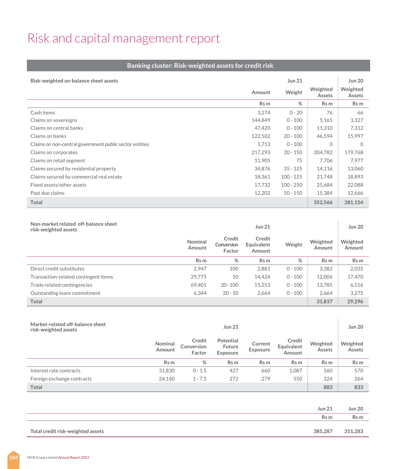#### **Banking cluster: Risk-weighted assets for credit risk**

| Risk-weighted on-balance sheet assets                   |         | Jun 21      |                           | <b>Jun 20</b>      |
|---------------------------------------------------------|---------|-------------|---------------------------|--------------------|
|                                                         | Amount  | Weight      | Weighted<br><b>Assets</b> | Weighted<br>Assets |
|                                                         | Rs m    | %           | Rs m                      | Rs m               |
| Cash items                                              | 3.274   | $0 - 20$    | 76                        | 66                 |
| Claims on sovereigns                                    | 144,849 | $0 - 100$   | 5,165                     | 3,327              |
| Claims on central banks                                 | 47.420  | $0 - 100$   | 11,310                    | 7,312              |
| Claims on banks                                         | 122,502 | $20 - 100$  | 46,594                    | 15,997             |
| Claims on non-central government public sector entities | 1,713   | $0 - 100$   | $\Omega$                  | $\Omega$           |
| Claims on corporates                                    | 217.293 | $20 - 150$  | 204.782                   | 179,768            |
| Claims on retail segment                                | 11.905  | 75          | 7.706                     | 7.977              |
| Claims secured by residential property                  | 34.876  | $35 - 125$  | 14,116                    | 13,060             |
| Claims secured by commercial real estate                | 18,361  | $100 - 125$ | 21,748                    | 18,893             |
| Fixed assets/other assets                               | 17.732  | $100 - 250$ | 25,684                    | 22,088             |
| Past due claims                                         | 12,202  | $50 - 150$  | 15,384                    | 12,666             |
| Total                                                   |         |             | 352,566                   | 281,154            |

| Non-market related off-balance sheet<br>risk-weighted assets |                   |                                | Jun 21                                |           |                    | <b>Jun 20</b>      |
|--------------------------------------------------------------|-------------------|--------------------------------|---------------------------------------|-----------|--------------------|--------------------|
|                                                              | Nominal<br>Amount | Credit<br>Conversion<br>Factor | Credit<br><b>Equivalent</b><br>Amount | Weight    | Weighted<br>Amount | Weighted<br>Amount |
|                                                              | Rs m              | %                              | Rs m                                  | %         | Rs m               | Rs m               |
| Direct credit substitutes                                    | 2.947             | 100                            | 2.881                                 | $0 - 100$ | 3.382              | 2.035              |
| Transaction-related contingent items                         | 29,775            | 50                             | 14,424                                | $0 - 100$ | 12,006             | 17,470             |
| Trade related contingencies                                  | 69.401            | $20 - 100$                     | 15,253                                | $0 - 100$ | 13.785             | 6.516              |
| Outstanding loans commitment                                 | 6.344             | $20 - 50$                      | 2.664                                 | $0 - 100$ | 2.664              | 3.275              |
| Total                                                        |                   |                                |                                       |           | 31,837             | 29.296             |

| Market-related off-balance sheet<br>risk-weighted assets |                   |                                | <b>Jun 21</b>                                 |                     |                                |                           | <b>Jun 20</b>             |
|----------------------------------------------------------|-------------------|--------------------------------|-----------------------------------------------|---------------------|--------------------------------|---------------------------|---------------------------|
|                                                          | Nominal<br>Amount | Credit<br>Conversion<br>Factor | Potential<br><b>Future</b><br><b>Exposure</b> | Current<br>Exposure | Credit<br>Equivalent<br>Amount | Weighted<br><b>Assets</b> | Weighted<br><b>Assets</b> |
|                                                          | Rs m              | %                              | Rs m                                          | Rs m                | Rs m                           | Rs m                      | Rs m                      |
| Interest rate contracts                                  | 31,830            | $0 - 1.5$                      | 427                                           | 660                 | 1.087                          | 560                       | 570                       |
| Foreign exchange contracts                               | 24.140            | $1 - 7.5$                      | 272                                           | 279                 | 550                            | 324                       | 264                       |
| Total                                                    |                   |                                |                                               |                     |                                | 883                       | 833                       |

| <b>Jun 21</b>                                | <b>Jun 20</b> |
|----------------------------------------------|---------------|
| Rs m                                         | Rs m          |
|                                              |               |
| 385,287<br>Total credit risk-weighted assets | 311,283       |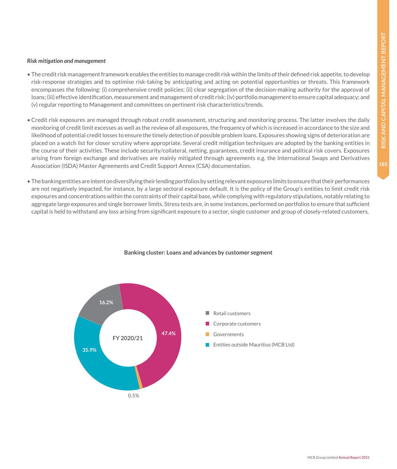#### *Risk mitigation and management*

- The credit risk management framework enables the entities to manage credit risk within the limits of their defined risk appetite, to develop risk-response strategies and to optimise risk-taking by anticipating and acting on potential opportunities or threats. This framework encompasses the following: (i) comprehensive credit policies; (ii) clear segregation of the decision-making authority for the approval of loans; (iii) effective identification, measurement and management of credit risk; (iv) portfolio management to ensure capital adequacy; and (v) regular reporting to Management and committees on pertinent risk characteristics/trends.
- Credit risk exposures are managed through robust credit assessment, structuring and monitoring process. The latter involves the daily monitoring of credit limit excesses as well as the review of all exposures, the frequency of which is increased in accordance to the size and likelihood of potential credit losses to ensure the timely detection of possible problem loans. Exposures showing signs of deterioration are placed on a watch list for closer scrutiny where appropriate. Several credit mitigation techniques are adopted by the banking entities in the course of their activities. These include security/collateral, netting, guarantees, credit insurance and political risk covers. Exposures arising from foreign exchange and derivatives are mainly mitigated through agreements e.g. the International Swaps and Derivatives Association (ISDA) Master Agreements and Credit Support Annex (CSA) documentation.
- The banking entities are intent on diversifying their lending portfolios by setting relevant exposures limits to ensure that their performances are not negatively impacted, for instance, by a large sectoral exposure default. It is the policy of the Group's entities to limit credit risk exposures and concentrations within the constraints of their capital base, while complying with regulatory stipulations, notably relating to aggregate large exposures and single borrower limits. Stress tests are, in some instances, performed on portfolios to ensure that sufficient capital is held to withstand any loss arising from significant exposure to a sector, single customer and group of closely-related customers.



#### **Banking cluster: Loans and advances by customer segment**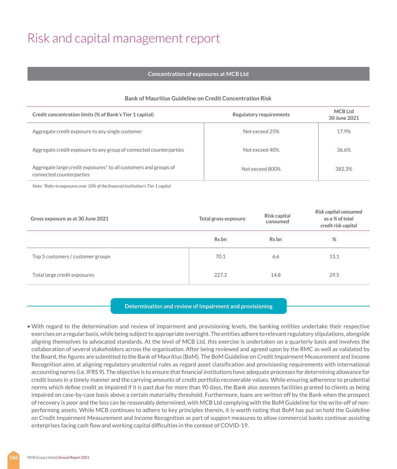#### **Concentration of exposures at MCB Ltd**

| <b>Bank of Mauritius Guideline on Credit Concentration Risk</b> |  |
|-----------------------------------------------------------------|--|
|-----------------------------------------------------------------|--|

| Credit concentration limits (% of Bank's Tier 1 capital)                                                 | <b>Regulatory requirements</b> | MCB Ltd<br>30 June 2021 |
|----------------------------------------------------------------------------------------------------------|--------------------------------|-------------------------|
| Aggregate credit exposure to any single customer                                                         | Not exceed 25%                 | 17.9%                   |
| Aggregate credit exposure to any group of connected counterparties                                       | Not exceed 40%                 | 36.6%                   |
| Aggregate large credit exposures <sup>*</sup> to all customers and groups of<br>connected counterparties | Not exceed 800%                | 382.3%                  |

*Note: \*Refer to exposures over 10% of the financial institution's Tier 1 capital* 

| Gross exposure as at 30 June 2021 | Total gross exposure | Risk capital<br>consumed | Risk capital consumed<br>as a % of total<br>credit risk capital |
|-----------------------------------|----------------------|--------------------------|-----------------------------------------------------------------|
|                                   | Rs bn                | Rs bn                    | %                                                               |
| Top 5 customers / customer groups | 70.1                 | 6.6                      | 13.1                                                            |
| Total large credit exposures      | 227.2                | 14.8                     | 29.5                                                            |

#### **Determination and review of impairment and provisioning**

• With regard to the determination and review of impairment and provisioning levels, the banking entities undertake their respective exercises on a regular basis, while being subject to appropriate oversight. The entities adhere to relevant regulatory stipulations, alongside aligning themselves to advocated standards. At the level of MCB Ltd, this exercise is undertaken on a quarterly basis and involves the collaboration of several stakeholders across the organisation. After being reviewed and agreed upon by the RMC as well as validated by the Board, the figures are submitted to the Bank of Mauritius (BoM). The BoM Guideline on Credit Impairment Measurement and Income Recognition aims at aligning regulatory prudential rules as regard asset classification and provisioning requirements with international accounting norms (i.e. IFRS 9). The objective is to ensure that financial institutions have adequate processes for determining allowance for credit losses in a timely manner and the carrying amounts of credit portfolio recoverable values. While ensuring adherence to prudential norms which define credit as impaired if it is past due for more than 90 days, the Bank also assesses facilities granted to clients as being impaired on case-by-case basis above a certain materiality threshold. Furthermore, loans are written off by the Bank when the prospect of recovery is poor and the loss can be reasonably determined, with MCB Ltd complying with the BoM Guideline for the write-off of nonperforming assets. While MCB continues to adhere to key principles therein, it is worth noting that BoM has put on hold the Guideline on Credit Impairment Measurement and Income Recognition as part of support measures to allow commercial banks continue assisting enterprises facing cash flow and working capital difficulties in the context of COVID-19.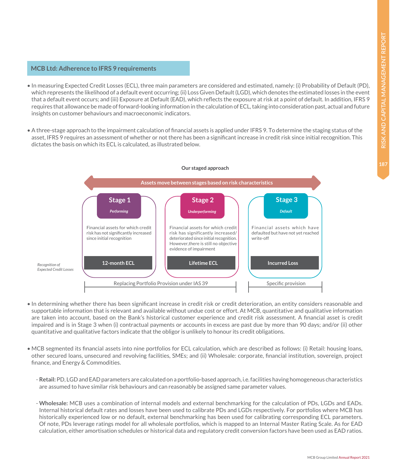#### **MCB Ltd: Adherence to IFRS 9 requirements**

- In measuring Expected Credit Losses (ECL), three main parameters are considered and estimated, namely: (i) Probability of Default (PD), which represents the likelihood of a default event occurring; (ii) Loss Given Default (LGD), which denotes the estimated losses in the event that a default event occurs; and (iii) Exposure at Default (EAD), which reflects the exposure at risk at a point of default. In addition, IFRS 9 requires that allowance be made of forward-looking information in the calculation of ECL, taking into consideration past, actual and future insights on customer behaviours and macroeconomic indicators.
- A three-stage approach to the impairment calculation of financial assets is applied under IFRS 9. To determine the staging status of the asset, IFRS 9 requires an assessment of whether or not there has been a significant increase in credit risk since initial recognition. This dictates the basis on which its ECL is calculated, as illustrated below.



- In determining whether there has been significant increase in credit risk or credit deterioration, an entity considers reasonable and supportable information that is relevant and available without undue cost or effort. At MCB, quantitative and qualitative information are taken into account, based on the Bank's historical customer experience and credit risk assessment. A financial asset is credit impaired and is in Stage 3 when (i) contractual payments or accounts in excess are past due by more than 90 days; and/or (ii) other quantitative and qualitative factors indicate that the obligor is unlikely to honour its credit obligations.
- MCB segmented its financial assets into nine portfolios for ECL calculation, which are described as follows: (i) Retail: housing loans, other secured loans, unsecured and revolving facilities, SMEs; and (ii) Wholesale: corporate, financial institution, sovereign, project finance, and Energy & Commodities.
	- **Retail:** PD, LGD and EAD parameters are calculated on a portfolio-based approach, i.e. facilities having homogeneous characteristics are assumed to have similar risk behaviours and can reasonably be assigned same parameter values.
	- **Wholesale:** MCB uses a combination of internal models and external benchmarking for the calculation of PDs, LGDs and EADs. Internal historical default rates and losses have been used to calibrate PDs and LGDs respectively. For portfolios where MCB has historically experienced low or no default, external benchmarking has been used for calibrating corresponding ECL parameters. Of note, PDs leverage ratings model for all wholesale portfolios, which is mapped to an Internal Master Rating Scale. As for EAD calculation, either amortisation schedules or historical data and regulatory credit conversion factors have been used as EAD ratios.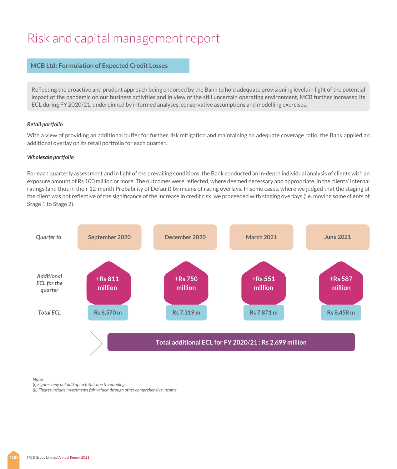#### **MCB Ltd: Formulation of Expected Credit Losses**

Reflecting the proactive and prudent approach being endorsed by the Bank to hold adequate provisioning levels in light of the potential impact of the pandemic on our business activities and in view of the still uncertain operating environment, MCB further increased its ECL during FY 2020/21, underpinned by informed analyses, conservative assumptions and modelling exercises.

#### *Retail portfolio*

With a view of providing an additional buffer for further risk mitigation and maintaining an adequate coverage ratio, the Bank applied an additional overlay on its retail portfolio for each quarter.

#### *Wholesale portfolio*

For each quarterly assessment and in light of the prevailing conditions, the Bank conducted an in-depth individual analysis of clients with an exposure amount of Rs 100 million or more. The outcomes were reflected, where deemed necessary and appropriate, in the clients' internal ratings (and thus in their 12-month Probability of Default) by means of rating overlays. In some cases, where we judged that the staging of the client was not reflective of the significance of the increase in credit risk, we proceeded with staging overlays (i.e. moving some clients of Stage 1 to Stage 2).



*Notes:*

*(i) Figures may not add up to totals due to rounding*

*(ii) Figures include investments fair valued through other comprehensive income*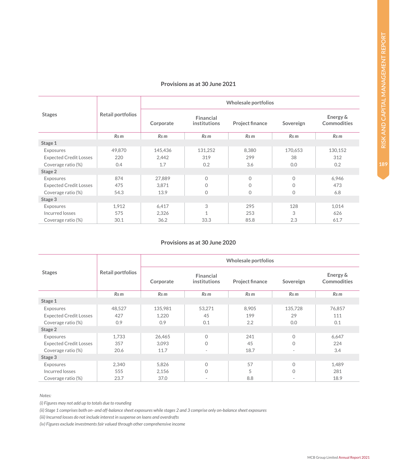#### **Provisions as at 30 June 2021**

|                               |                          | Wholesale portfolios |                           |                 |              |                                |
|-------------------------------|--------------------------|----------------------|---------------------------|-----------------|--------------|--------------------------------|
| <b>Stages</b>                 | <b>Retail portfolios</b> | Corporate            | Financial<br>institutions | Project finance | Sovereign    | Energy &<br><b>Commodities</b> |
|                               | Rs <sub>m</sub>          | Rs m                 | Rs m                      | Rs <sub>m</sub> | Rs m         | Rs <sub>m</sub>                |
| Stage 1                       |                          |                      |                           |                 |              |                                |
| Exposures                     | 49,870                   | 145,436              | 131,252                   | 8,380           | 170,653      | 130,152                        |
| <b>Expected Credit Losses</b> | 220                      | 2.442                | 319                       | 299             | 38           | 312                            |
| Coverage ratio (%)            | 0.4                      | 1.7                  | 0.2                       | 3.6             | 0.0          | 0.2                            |
| Stage 2                       |                          |                      |                           |                 |              |                                |
| Exposures                     | 874                      | 27,889               | $\Omega$                  | $\Omega$        | $\Omega$     | 6,946                          |
| <b>Expected Credit Losses</b> | 475                      | 3,871                | $\Omega$                  | $\Omega$        | $\mathbf{0}$ | 473                            |
| Coverage ratio (%)            | 54.3                     | 13.9                 | $\Omega$                  | $\mathbf 0$     | $\circ$      | 6.8                            |
| Stage 3                       |                          |                      |                           |                 |              |                                |
| Exposures                     | 1,912                    | 6,417                | 3                         | 295             | 128          | 1,014                          |
| Incurred losses               | 575                      | 2,326                | 1                         | 253             | 3            | 626                            |
| Coverage ratio (%)            | 30.1                     | 36.2                 | 33.3                      | 85.8            | 2.3          | 61.7                           |

#### **Provisions as at 30 June 2020**

|                               |                          | Wholesale portfolios |                           |                        |                          |                         |  |
|-------------------------------|--------------------------|----------------------|---------------------------|------------------------|--------------------------|-------------------------|--|
| <b>Stages</b>                 | <b>Retail portfolios</b> | Corporate            | Financial<br>institutions | <b>Project finance</b> | Sovereign                | Energy &<br>Commodities |  |
|                               | Rs m                     | Rs m                 | Rs <sub>m</sub>           | Rs <sub>m</sub>        | Rs m                     | Rs <sub>m</sub>         |  |
| Stage 1                       |                          |                      |                           |                        |                          |                         |  |
| Exposures                     | 48,527                   | 135,981              | 53,271                    | 8,905                  | 135,728                  | 76,857                  |  |
| <b>Expected Credit Losses</b> | 427                      | 1,220                | 45                        | 199                    | 29                       | 111                     |  |
| Coverage ratio (%)            | 0.9                      | 0.9                  | 0.1                       | 2.2                    | 0.0                      | 0.1                     |  |
| Stage 2                       |                          |                      |                           |                        |                          |                         |  |
| Exposures                     | 1,733                    | 26,465               | $\mathbf{O}$              | 241                    | $\Omega$                 | 6,647                   |  |
| <b>Expected Credit Losses</b> | 357                      | 3,093                | $\Omega$                  | 45                     | $\Omega$                 | 224                     |  |
| Coverage ratio (%)            | 20.6                     | 11.7                 | $\sim$                    | 18.7                   | $\overline{\phantom{a}}$ | 3.4                     |  |
| Stage 3                       |                          |                      |                           |                        |                          |                         |  |
| Exposures                     | 2,340                    | 5,826                | $\mathbf{O}$              | 57                     | $\Omega$                 | 1,489                   |  |
| Incurred losses               | 555                      | 2,156                | $\Omega$                  | 5                      | $\Omega$                 | 281                     |  |
| Coverage ratio (%)            | 23.7                     | 37.0                 | ۰                         | 8.8                    | $\sim$                   | 18.9                    |  |

*Notes:*

*(i) Figures may not add up to totals due to rounding*

*(ii) Stage 1 comprises both on- and off-balance sheet exposures while stages 2 and 3 comprise only on-balance sheet exposures*

*(iii) Incurred losses do not include interest in suspense on loans and overdrafts*

*(iv) Figures exclude investments fair valued through other comprehensive income*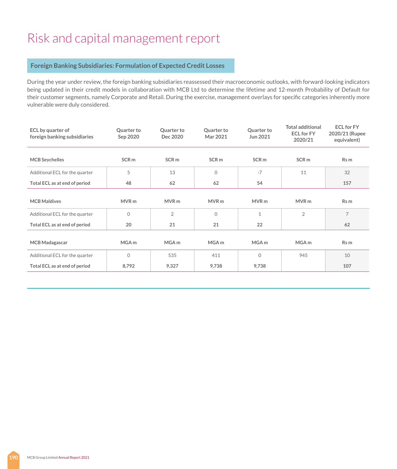#### **Foreign Banking Subsidiaries: Formulation of Expected Credit Losses**

During the year under review, the foreign banking subsidiaries reassessed their macroeconomic outlooks, with forward-looking indicators being updated in their credit models in collaboration with MCB Ltd to determine the lifetime and 12-month Probability of Default for their customer segments, namely Corporate and Retail. During the exercise, management overlays for specific categories inherently more vulnerable were duly considered.

| <b>ECL</b> by quarter of<br>foreign banking subsidiaries | Quarter to<br>Sep 2020 | Quarter to<br>Dec 2020 | Quarter to<br>Mar 2021 | Quarter to<br>Jun 2021 | <b>Total additional</b><br><b>ECL for FY</b><br>2020/21 | <b>ECL for FY</b><br>2020/21 (Rupee<br>equivalent) |
|----------------------------------------------------------|------------------------|------------------------|------------------------|------------------------|---------------------------------------------------------|----------------------------------------------------|
| <b>MCB Seychelles</b>                                    | SCR <sub>m</sub>       | SCR <sub>m</sub>       | SCR <sub>m</sub>       | SCR <sub>m</sub>       | SCR <sub>m</sub>                                        | Rs m                                               |
| Additional ECL for the quarter                           | 5                      | 13                     | $\Omega$               | $-7$                   | 11                                                      | 32                                                 |
| Total ECL as at end of period                            | 48                     | 62                     | 62                     | 54                     |                                                         | 157                                                |
|                                                          |                        |                        |                        |                        |                                                         |                                                    |
| <b>MCB Maldives</b>                                      | MVR <sub>m</sub>       | MVR <sub>m</sub>       | MVR <sub>m</sub>       | MVR <sub>m</sub>       | MVR <sub>m</sub>                                        | Rs m                                               |
| Additional ECL for the quarter                           | $\Omega$               | $\overline{2}$         | $\overline{0}$         | $\mathbf{1}$           | $\overline{2}$                                          | 7                                                  |
| Total ECL as at end of period                            | 20                     | 21                     | 21                     | 22                     |                                                         | 62                                                 |
|                                                          |                        |                        |                        |                        |                                                         |                                                    |
| <b>MCB Madagascar</b>                                    | MGA <sub>m</sub>       | MGA <sub>m</sub>       | MGA <sub>m</sub>       | MGA <sub>m</sub>       | MGA <sub>m</sub>                                        | Rs m                                               |
| Additional ECL for the quarter                           | $\Omega$               | 535                    | 411                    | $\Omega$               | 945                                                     | 10                                                 |
| Total ECL as at end of period                            | 8,792                  | 9,327                  | 9,738                  | 9,738                  |                                                         | 107                                                |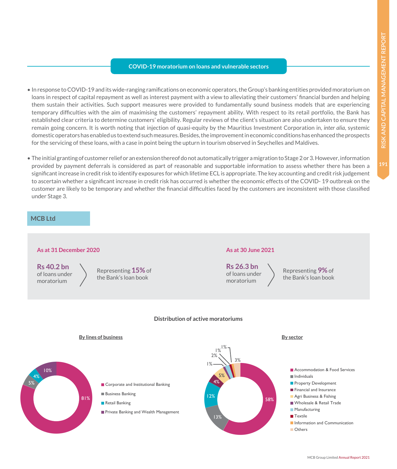#### **COVID-19 moratorium on loans and vulnerable sectors**

- In response to COVID-19 and its wide-ranging ramifications on economic operators, the Group's banking entities provided moratorium on loans in respect of capital repayment as well as interest payment with a view to alleviating their customers' financial burden and helping them sustain their activities. Such support measures were provided to fundamentally sound business models that are experiencing temporary difficulties with the aim of maximising the customers' repayment ability. With respect to its retail portfolio, the Bank has established clear criteria to determine customers' eligibility. Regular reviews of the client's situation are also undertaken to ensure they remain going concern. It is worth noting that injection of quasi-equity by the Mauritius Investment Corporation in, *inter alia*, systemic domestic operators has enabled us to extend such measures. Besides, the improvement in economic conditions has enhanced the prospects for the servicing of these loans, with a case in point being the upturn in tourism observed in Seychelles and Maldives.
- The initial granting of customer relief or an extension thereof do not automatically trigger a migration to Stage 2 or 3. However, information provided by payment deferrals is considered as part of reasonable and supportable information to assess whether there has been a significant increase in credit risk to identify exposures for which lifetime ECL is appropriate. The key accounting and credit risk judgement to ascertain whether a significant increase in credit risk has occurred is whether the economic effects of the COVID- 19 outbreak on the customer are likely to be temporary and whether the financial difficulties faced by the customers are inconsistent with those classified under Stage 3.

#### **MCB Ltd**

### **As at 31 December 2020 As at 30 June 2021**

**Rs 40.2 bn** of loans under moratorium

Representing **15%** of the Bank's loan book

**Rs 26.3 bn** of loans under moratorium

Representing **9%** of the Bank's loan book

#### **Distribution of active moratoriums**





- Business Banking
- Retail Banking
- **Private Banking and Wealth Management**

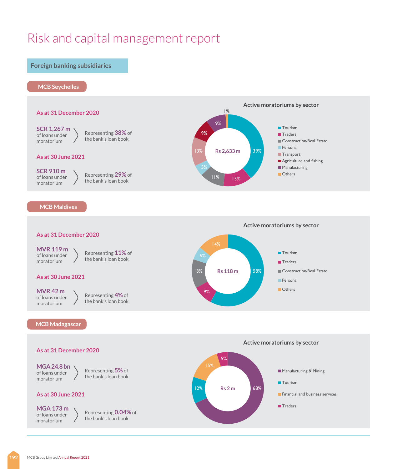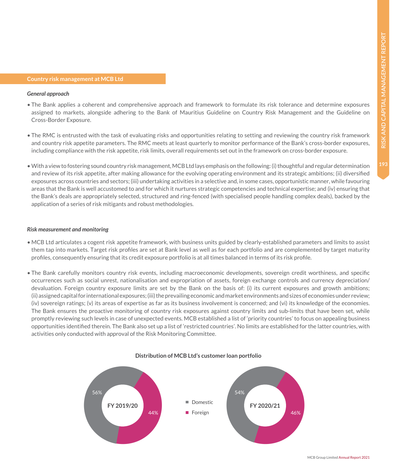#### **Country risk management at MCB Ltd**

#### *General approach*

- The Bank applies a coherent and comprehensive approach and framework to formulate its risk tolerance and determine exposures assigned to markets, alongside adhering to the Bank of Mauritius Guideline on Country Risk Management and the Guideline on Cross-Border Exposure.
- The RMC is entrusted with the task of evaluating risks and opportunities relating to setting and reviewing the country risk framework and country risk appetite parameters. The RMC meets at least quarterly to monitor performance of the Bank's cross-border exposures, including compliance with the risk appetite, risk limits, overall requirements set out in the framework on cross-border exposure.
- With a view to fostering sound country risk management, MCB Ltd lays emphasis on the following: (i) thoughtful and regular determination and review of its risk appetite, after making allowance for the evolving operating environment and its strategic ambitions; (ii) diversified exposures across countries and sectors; (iii) undertaking activities in a selective and, in some cases, opportunistic manner, while favouring areas that the Bank is well accustomed to and for which it nurtures strategic competencies and technical expertise; and (iv) ensuring that the Bank's deals are appropriately selected, structured and ring-fenced (with specialised people handling complex deals), backed by the application of a series of risk mitigants and robust methodologies.

#### *Risk measurement and monitoring*

- MCB Ltd articulates a cogent risk appetite framework, with business units guided by clearly-established parameters and limits to assist them tap into markets. Target risk profiles are set at Bank level as well as for each portfolio and are complemented by target maturity profiles, consequently ensuring that its credit exposure portfolio is at all times balanced in terms of its risk profile.
- The Bank carefully monitors country risk events, including macroeconomic developments, sovereign credit worthiness, and specific occurrences such as social unrest, nationalisation and expropriation of assets, foreign exchange controls and currency depreciation/ devaluation. Foreign country exposure limits are set by the Bank on the basis of: (i) its current exposures and growth ambitions; (ii) assigned capital for international exposures; (iii) the prevailing economic and market environments and sizes of economies under review; (iv) sovereign ratings; (v) its areas of expertise as far as its business involvement is concerned; and (vi) its knowledge of the economies. The Bank ensures the proactive monitoring of country risk exposures against country limits and sub-limits that have been set, while promptly reviewing such levels in case of unexpected events. MCB established a list of 'priority countries' to focus on appealing business opportunities identified therein. The Bank also set up a list of 'restricted countries'. No limits are established for the latter countries, with activities only conducted with approval of the Risk Monitoring Committee.



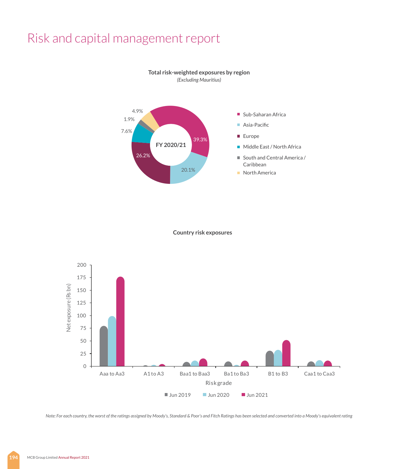

**Total risk-weighted exposures by region** *(Excluding Mauritius)*

**Country risk exposures**



*Note: For each country, the worst of the ratings assigned by Moody's, Standard & Poor's and Fitch Ratings has been selected and converted into a Moody's equivalent rating*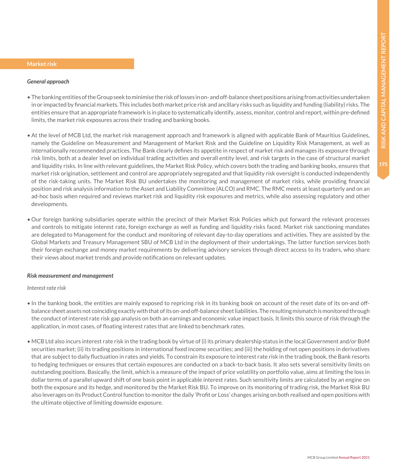#### **Market risk**

#### *General approach*

- The banking entities of the Group seek to minimise the risk of losses in on- and off-balance sheet positions arising from activities undertaken in or impacted by financial markets. This includes both market price risk and ancillary risks such as liquidity and funding (liability) risks. The entities ensure that an appropriate framework is in place to systematically identify, assess, monitor, control and report, within pre-defined limits, the market risk exposures across their trading and banking books.
- At the level of MCB Ltd, the market risk management approach and framework is aligned with applicable Bank of Mauritius Guidelines, namely the Guideline on Measurement and Management of Market Risk and the Guideline on Liquidity Risk Management, as well as internationally recommended practices. The Bank clearly defines its appetite in respect of market risk and manages its exposure through risk limits, both at a dealer level on individual trading activities and overall entity level, and risk targets in the case of structural market and liquidity risks. In line with relevant guidelines, the Market Risk Policy, which covers both the trading and banking books, ensures that market risk origination, settlement and control are appropriately segregated and that liquidity risk oversight is conducted independently of the risk-taking units. The Market Risk BU undertakes the monitoring and management of market risks, while providing financial position and risk analysis information to the Asset and Liability Committee (ALCO) and RMC. The RMC meets at least quarterly and on an ad-hoc basis when required and reviews market risk and liquidity risk exposures and metrics, while also assessing regulatory and other developments.
- Our foreign banking subsidiaries operate within the precinct of their Market Risk Policies which put forward the relevant processes and controls to mitigate interest rate, foreign exchange as well as funding and liquidity risks faced. Market risk sanctioning mandates are delegated to Management for the conduct and monitoring of relevant day-to-day operations and activities. They are assisted by the Global Markets and Treasury Management SBU of MCB Ltd in the deployment of their undertakings. The latter function services both their foreign exchange and money market requirements by delivering advisory services through direct access to its traders, who share their views about market trends and provide notifications on relevant updates.

#### *Risk measurement and management*

#### *Interest rate risk*

- In the banking book, the entities are mainly exposed to repricing risk in its banking book on account of the reset date of its on-and offbalance sheet assets not coinciding exactly with that of its on-and off-balance sheet liabilities. The resulting mismatch is monitored through the conduct of interest rate risk gap analysis on both an earnings and economic value impact basis. It limits this source of risk through the application, in most cases, of floating interest rates that are linked to benchmark rates.
- MCB Ltd also incurs interest rate risk in the trading book by virtue of (i) its primary dealership status in the local Government and/or BoM securities market; (ii) its trading positions in international fixed income securities; and (iii) the holding of net open positions in derivatives that are subject to daily fluctuation in rates and yields. To constrain its exposure to interest rate risk in the trading book, the Bank resorts to hedging techniques or ensures that certain exposures are conducted on a back-to-back basis. It also sets several sensitivity limits on outstanding positions. Basically, the limit, which is a measure of the impact of price volatility on portfolio value, aims at limiting the loss in dollar terms of a parallel upward shift of one basis point in applicable interest rates. Such sensitivity limits are calculated by an engine on both the exposure and its hedge, and monitored by the Market Risk BU. To improve on its monitoring of trading risk, the Market Risk BU also leverages on its Product Control function to monitor the daily 'Profit or Loss' changes arising on both realised and open positions with the ultimate objective of limiting downside exposure.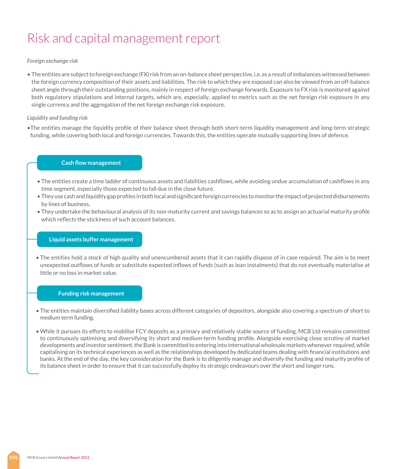#### *Foreign exchange risk*

• The entities are subject to foreign exchange (FX) risk from an on-balance sheet perspective, i.e. as a result of imbalances witnessed between the foreign currency composition of their assets and liabilities. The risk to which they are exposed can also be viewed from an off-balance sheet angle through their outstanding positions, mainly in respect of foreign exchange forwards. Exposure to FX risk is monitored against both regulatory stipulations and internal targets, which are, especially, applied to metrics such as the net foreign risk exposure in any single currency and the aggregation of the net foreign exchange risk exposure.

#### *Liquidity and funding risk*

•The entities manage the liquidity profile of their balance sheet through both short-term liquidity management and long-term strategic funding, while covering both local and foreign currencies. Towards this, the entities operate mutually supporting lines of defence.

#### **Cash flow management**

- The entities create a time ladder of continuous assets and liabilities cashflows, while avoiding undue accumulation of cashflows in any time segment, especially those expected to fall due in the close future.
- They use cash and liquidity gap profiles in both local and significant foreign currencies to monitor the impact of projected disbursements by lines of business.
- They undertake the behavioural analysis of its non-maturity current and savings balances so as to assign an actuarial maturity profile which reflects the stickiness of such account balances.

#### **Liquid assets buffer management**

• The entities hold a stock of high quality and unencumbered assets that it can rapidly dispose of in case required. The aim is to meet unexpected outflows of funds or substitute expected inflows of funds (such as loan instalments) that do not eventually materialise at little or no loss in market value.

#### **Funding risk management**

- The entities maintain diversified liability bases across different categories of depositors, alongside also covering a spectrum of short to medium term funding.
- While it pursues its efforts to mobilise FCY deposits as a primary and relatively stable source of funding, MCB Ltd remains committed to continuously optimising and diversifying its short and medium-term funding profile. Alongside exercising close scrutiny of market developments and investor sentiment, the Bank is committed to entering into international wholesale markets whenever required, while capitalising on its technical experiences as well as the relationships developed by dedicated teams dealing with financial institutions and banks. At the end of the day, the key consideration for the Bank is to diligently manage and diversify the funding and maturity profile of its balance sheet in order to ensure that it can successfully deploy its strategic endeavours over the short and longer runs.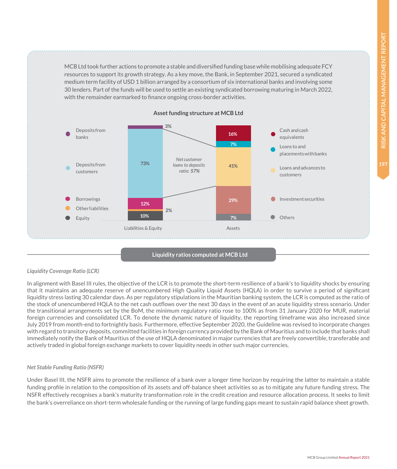MCB Ltd took further actions to promote a stable and diversified funding base while mobilising adequate FCY resources to support its growth strategy. As a key move, the Bank, in September 2021, secured a syndicated medium term facility of USD 1 billion arranged by a consortium of six international banks and involving some 30 lenders. Part of the funds will be used to settle an existing syndicated borrowing maturing in March 2022, with the remainder earmarked to finance ongoing cross-border activities.



#### **Asset funding structure at MCB Ltd**

#### **Liquidity ratios computed at MCB Ltd**

#### *Liquidity Coverage Ratio (LCR)*

In alignment with Basel III rules, the objective of the LCR is to promote the short-term resilience of a bank's to liquidity shocks by ensuring that it maintains an adequate reserve of unencumbered High Quality Liquid Assets (HQLA) in order to survive a period of significant liquidity stress lasting 30 calendar days. As per regulatory stipulations in the Mauritian banking system, the LCR is computed as the ratio of the stock of unencumbered HQLA to the net cash outflows over the next 30 days in the event of an acute liquidity stress scenario. Under the transitional arrangements set by the BoM, the minimum regulatory ratio rose to 100% as from 31 January 2020 for MUR, material foreign currencies and consolidated LCR. To denote the dynamic nature of liquidity, the reporting timeframe was also increased since July 2019 from month-end to fortnightly basis. Furthermore, effective September 2020, the Guideline was revised to incorporate changes with regard to transitory deposits, committed facilities in foreign currency provided by the Bank of Mauritius and to include that banks shall immediately notify the Bank of Mauritius of the use of HQLA denominated in major currencies that are freely convertible, transferable and actively traded in global foreign exchange markets to cover liquidity needs in other such major currencies.

#### *Net Stable Funding Ratio (NSFR)*

Under Basel III, the NSFR aims to promote the resilience of a bank over a longer time horizon by requiring the latter to maintain a stable funding profile in relation to the composition of its assets and off-balance sheet activities so as to mitigate any future funding stress. The NSFR effectively recognises a bank's maturity transformation role in the credit creation and resource allocation process. It seeks to limit the bank's overreliance on short-term wholesale funding or the running of large funding gaps meant to sustain rapid balance sheet growth.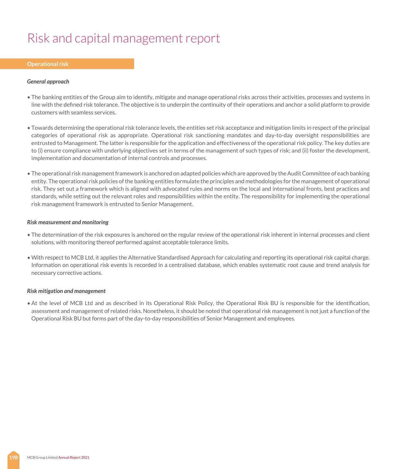#### **Operational risk**

#### *General approach*

- The banking entities of the Group aim to identify, mitigate and manage operational risks across their activities, processes and systems in line with the defined risk tolerance. The objective is to underpin the continuity of their operations and anchor a solid platform to provide customers with seamless services.
- Towards determining the operational risk tolerance levels, the entities set risk acceptance and mitigation limits in respect of the principal categories of operational risk as appropriate. Operational risk sanctioning mandates and day-to-day oversight responsibilities are entrusted to Management. The latter is responsible for the application and effectiveness of the operational risk policy. The key duties are to (i) ensure compliance with underlying objectives set in terms of the management of such types of risk; and (ii) foster the development, implementation and documentation of internal controls and processes.
- The operational risk management framework is anchored on adapted policies which are approved by the Audit Committee of each banking entity. The operational risk policies of the banking entities formulate the principles and methodologies for the management of operational risk. They set out a framework which is aligned with advocated rules and norms on the local and international fronts, best practices and standards, while setting out the relevant roles and responsibilities within the entity. The responsibility for implementing the operational risk management framework is entrusted to Senior Management.

#### *Risk measurement and monitoring*

- The determination of the risk exposures is anchored on the regular review of the operational risk inherent in internal processes and client solutions, with monitoring thereof performed against acceptable tolerance limits.
- With respect to MCB Ltd, it applies the Alternative Standardised Approach for calculating and reporting its operational risk capital charge. Information on operational risk events is recorded in a centralised database, which enables systematic root cause and trend analysis for necessary corrective actions.

#### *Risk mitigation and management*

• At the level of MCB Ltd and as described in its Operational Risk Policy, the Operational Risk BU is responsible for the identification, assessment and management of related risks. Nonetheless, it should be noted that operational risk management is not just a function of the Operational Risk BU but forms part of the day-to-day responsibilities of Senior Management and employees.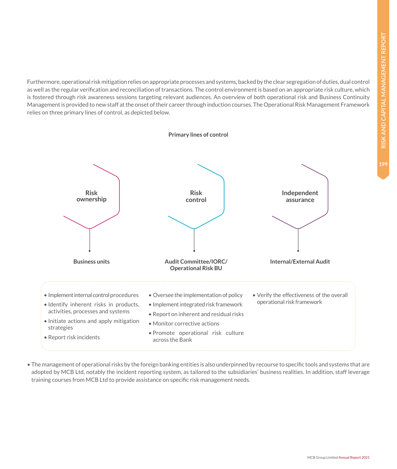Furthermore, operational risk mitigation relies on appropriate processes and systems, backed by the clear segregation of duties, dual control as well as the regular verification and reconciliation of transactions. The control environment is based on an appropriate risk culture, which is fostered through risk awareness sessions targeting relevant audiences. An overview of both operational risk and Business Continuity Management is provided to new staff at the onset of their career through induction courses. The Operational Risk Management Framework relies on three primary lines of control, as depicted below.



• The management of operational risks by the foreign banking entities is also underpinned by recourse to specific tools and systems that are adopted by MCB Ltd, notably the incident reporting system, as tailored to the subsidiaries' business realities. In addition, staff leverage training courses from MCB Ltd to provide assistance on specific risk management needs.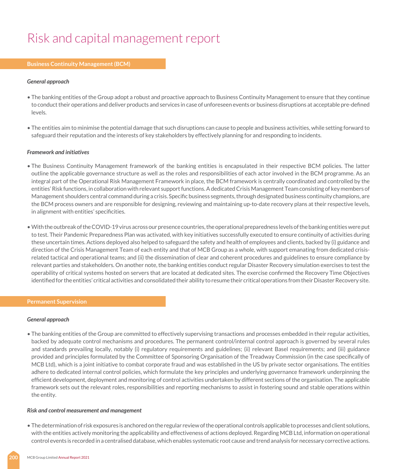#### **Business Continuity Management (BCM)**

#### *General approach*

- The banking entities of the Group adopt a robust and proactive approach to Business Continuity Management to ensure that they continue to conduct their operations and deliver products and services in case of unforeseen events or business disruptions at acceptable pre-defined levels.
- The entities aim to minimise the potential damage that such disruptions can cause to people and business activities, while setting forward to safeguard their reputation and the interests of key stakeholders by effectively planning for and responding to incidents.

#### *Framework and initiatives*

- The Business Continuity Management framework of the banking entities is encapsulated in their respective BCM policies. The latter outline the applicable governance structure as well as the roles and responsibilities of each actor involved in the BCM programme. As an integral part of the Operational Risk Management Framework in place, the BCM framework is centrally coordinated and controlled by the entities' Risk functions, in collaboration with relevant support functions. A dedicated Crisis Management Team consisting of key members of Management shoulders central command during a crisis. Specific business segments, through designated business continuity champions, are the BCM process owners and are responsible for designing, reviewing and maintaining up-to-date recovery plans at their respective levels, in alignment with entities' specificities.
- With the outbreak of the COVID-19 virus across our presence countries, the operational preparedness levels of the banking entities were put to test. Their Pandemic Preparedness Plan was activated, with key initiatives successfully executed to ensure continuity of activities during these uncertain times. Actions deployed also helped to safeguard the safety and health of employees and clients, backed by (i) guidance and direction of the Crisis Management Team of each entity and that of MCB Group as a whole, with support emanating from dedicated crisisrelated tactical and operational teams; and (ii) the dissemination of clear and coherent procedures and guidelines to ensure compliance by relevant parties and stakeholders. On another note, the banking entities conduct regular Disaster Recovery simulation exercises to test the operability of critical systems hosted on servers that are located at dedicated sites. The exercise confirmed the Recovery Time Objectives identified for the entities' critical activities and consolidated their ability to resume their critical operations from their Disaster Recovery site.

#### **Permanent Supervision**

#### *General approach*

• The banking entities of the Group are committed to effectively supervising transactions and processes embedded in their regular activities, backed by adequate control mechanisms and procedures. The permanent control/internal control approach is governed by several rules and standards prevailing locally, notably (i) regulatory requirements and guidelines; (ii) relevant Basel requirements; and (iii) guidance provided and principles formulated by the Committee of Sponsoring Organisation of the Treadway Commission (in the case specifically of MCB Ltd), which is a joint initiative to combat corporate fraud and was established in the US by private sector organisations. The entities adhere to dedicated internal control policies, which formulate the key principles and underlying governance framework underpinning the efficient development, deployment and monitoring of control activities undertaken by different sections of the organisation. The applicable framework sets out the relevant roles, responsibilities and reporting mechanisms to assist in fostering sound and stable operations within the entity.

#### *Risk and control measurement and management*

• The determination of risk exposures is anchored on the regular review of the operational controls applicable to processes and client solutions, with the entities actively monitoring the applicability and effectiveness of actions deployed. Regarding MCB Ltd, information on operational control events is recorded in a centralised database, which enables systematic root cause and trend analysis for necessary corrective actions.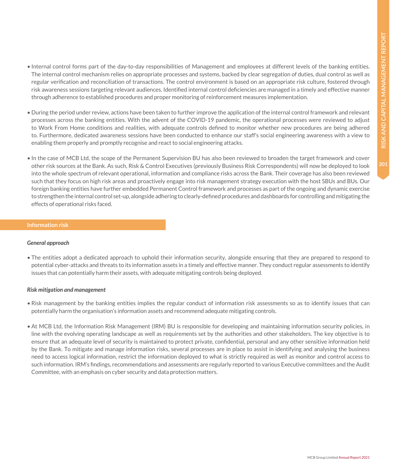- Internal control forms part of the day-to-day responsibilities of Management and employees at different levels of the banking entities. The internal control mechanism relies on appropriate processes and systems, backed by clear segregation of duties, dual control as well as regular verification and reconciliation of transactions. The control environment is based on an appropriate risk culture, fostered through risk awareness sessions targeting relevant audiences. Identified internal control deficiencies are managed in a timely and effective manner through adherence to established procedures and proper monitoring of reinforcement measures implementation.
- During the period under review, actions have been taken to further improve the application of the internal control framework and relevant processes across the banking entities. With the advent of the COVID-19 pandemic, the operational processes were reviewed to adjust to Work From Home conditions and realities, with adequate controls defined to monitor whether new procedures are being adhered to. Furthermore, dedicated awareness sessions have been conducted to enhance our staff's social engineering awareness with a view to enabling them properly and promptly recognise and react to social engineering attacks.
- In the case of MCB Ltd, the scope of the Permanent Supervision BU has also been reviewed to broaden the target framework and cover other risk sources at the Bank. As such, Risk & Control Executives (previously Business Risk Correspondents) will now be deployed to look into the whole spectrum of relevant operational, information and compliance risks across the Bank. Their coverage has also been reviewed such that they focus on high risk areas and proactively engage into risk management strategy execution with the host SBUs and BUs. Our foreign banking entities have further embedded Permanent Control framework and processes as part of the ongoing and dynamic exercise to strengthen the internal control set-up, alongside adhering to clearly-defined procedures and dashboards for controlling and mitigating the effects of operational risks faced.

#### *General approach*

• The entities adopt a dedicated approach to uphold their information security, alongside ensuring that they are prepared to respond to potential cyber-attacks and threats to its information assets in a timely and effective manner. They conduct regular assessments to identify issues that can potentially harm their assets, with adequate mitigating controls being deployed.

#### *Risk mitigation and management*

- Risk management by the banking entities implies the regular conduct of information risk assessments so as to identify issues that can potentially harm the organisation's information assets and recommend adequate mitigating controls.
- At MCB Ltd, the Information Risk Management (IRM) BU is responsible for developing and maintaining information security policies, in line with the evolving operating landscape as well as requirements set by the authorities and other stakeholders. The key objective is to ensure that an adequate level of security is maintained to protect private, confidential, personal and any other sensitive information held by the Bank. To mitigate and manage information risks, several processes are in place to assist in identifying and analysing the business need to access logical information, restrict the information deployed to what is strictly required as well as monitor and control access to such information. IRM's findings, recommendations and assessments are regularly reported to various Executive committees and the Audit Committee, with an emphasis on cyber security and data protection matters.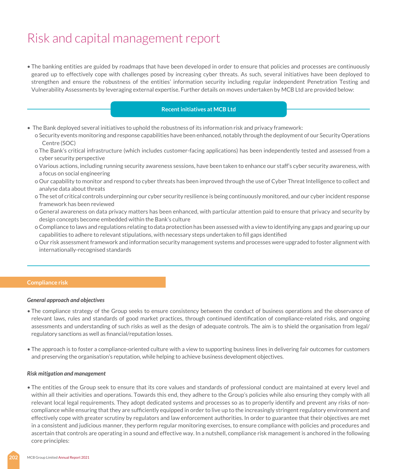• The banking entities are guided by roadmaps that have been developed in order to ensure that policies and processes are continuously geared up to effectively cope with challenges posed by increasing cyber threats. As such, several initiatives have been deployed to strengthen and ensure the robustness of the entities' information security including regular independent Penetration Testing and Vulnerability Assessments by leveraging external expertise. Further details on moves undertaken by MCB Ltd are provided below:

#### **Recent initiatives at MCB Ltd**

- The Bank deployed several initiatives to uphold the robustness of its information risk and privacy framework:
	- o Security events monitoring and response capabilities have been enhanced, notably through the deployment of our Security Operations Centre (SOC)
	- o The Bank's critical infrastructure (which includes customer-facing applications) has been independently tested and assessed from a cyber security perspective
	- o Various actions, including running security awareness sessions, have been taken to enhance our staff's cyber security awareness, with a focus on social engineering
	- o Our capability to monitor and respond to cyber threats has been improved through the use of Cyber Threat Intelligence to collect and analyse data about threats
	- o The set of critical controls underpinning our cyber security resilience is being continuously monitored, and our cyber incident response framework has been reviewed
	- o General awareness on data privacy matters has been enhanced, with particular attention paid to ensure that privacy and security by design concepts become embedded within the Bank's culture
	- o Compliance to laws and regulations relating to data protection has been assessed with a view to identifying any gaps and gearing up our capabilities to adhere to relevant stipulations, with necessary steps undertaken to fill gaps identified
	- o Our risk assessment framework and information security management systems and processes were upgraded to foster alignment with internationally-recognised standards

#### **Compliance risk**

#### *General approach and objectives*

- The compliance strategy of the Group seeks to ensure consistency between the conduct of business operations and the observance of relevant laws, rules and standards of good market practices, through continued identification of compliance-related risks, and ongoing assessments and understanding of such risks as well as the design of adequate controls. The aim is to shield the organisation from legal/ regulatory sanctions as well as financial/reputation losses.
- The approach is to foster a compliance-oriented culture with a view to supporting business lines in delivering fair outcomes for customers and preserving the organisation's reputation, while helping to achieve business development objectives.

#### *Risk mitigation and management*

• The entities of the Group seek to ensure that its core values and standards of professional conduct are maintained at every level and within all their activities and operations. Towards this end, they adhere to the Group's policies while also ensuring they comply with all relevant local legal requirements. They adopt dedicated systems and processes so as to properly identify and prevent any risks of noncompliance while ensuring that they are sufficiently equipped in order to live up to the increasingly stringent regulatory environment and effectively cope with greater scrutiny by regulators and law enforcement authorities. In order to guarantee that their objectives are met in a consistent and judicious manner, they perform regular monitoring exercises, to ensure compliance with policies and procedures and ascertain that controls are operating in a sound and effective way. In a nutshell, compliance risk management is anchored in the following core principles: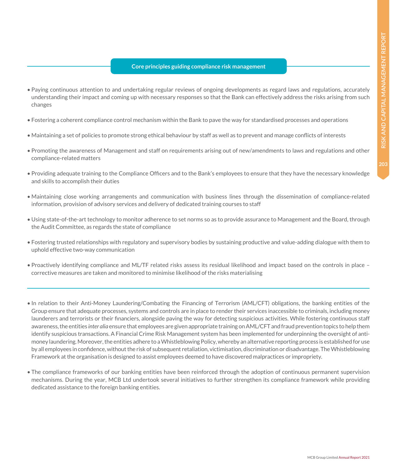#### **Core principles guiding compliance risk management**

- Paying continuous attention to and undertaking regular reviews of ongoing developments as regard laws and regulations, accurately understanding their impact and coming up with necessary responses so that the Bank can effectively address the risks arising from such changes
- Fostering a coherent compliance control mechanism within the Bank to pave the way for standardised processes and operations
- Maintaining a set of policies to promote strong ethical behaviour by staff as well as to prevent and manage conflicts of interests
- Promoting the awareness of Management and staff on requirements arising out of new/amendments to laws and regulations and other compliance-related matters
- Providing adequate training to the Compliance Officers and to the Bank's employees to ensure that they have the necessary knowledge and skills to accomplish their duties
- Maintaining close working arrangements and communication with business lines through the dissemination of compliance-related information, provision of advisory services and delivery of dedicated training courses to staff
- Using state-of-the-art technology to monitor adherence to set norms so as to provide assurance to Management and the Board, through the Audit Committee, as regards the state of compliance
- Fostering trusted relationships with regulatory and supervisory bodies by sustaining productive and value-adding dialogue with them to uphold effective two-way communication
- Proactively identifying compliance and ML/TF related risks assess its residual likelihood and impact based on the controls in place corrective measures are taken and monitored to minimise likelihood of the risks materialising
- In relation to their Anti-Money Laundering/Combating the Financing of Terrorism (AML/CFT) obligations, the banking entities of the Group ensure that adequate processes, systems and controls are in place to render their services inaccessible to criminals, including money launderers and terrorists or their financiers, alongside paving the way for detecting suspicious activities. While fostering continuous staff awareness, the entities *inter alia* ensure that employees are given appropriate training on AML/CFT and fraud prevention topics to help them identify suspicious transactions. A Financial Crime Risk Management system has been implemented for underpinning the oversight of antimoney laundering. Moreover, the entities adhere to a Whistleblowing Policy, whereby an alternative reporting process is established for use by all employees in confidence, without the risk of subsequent retaliation, victimisation, discrimination or disadvantage. The Whistleblowing Framework at the organisation is designed to assist employees deemed to have discovered malpractices or impropriety.
- The compliance frameworks of our banking entities have been reinforced through the adoption of continuous permanent supervision mechanisms. During the year, MCB Ltd undertook several initiatives to further strengthen its compliance framework while providing dedicated assistance to the foreign banking entities.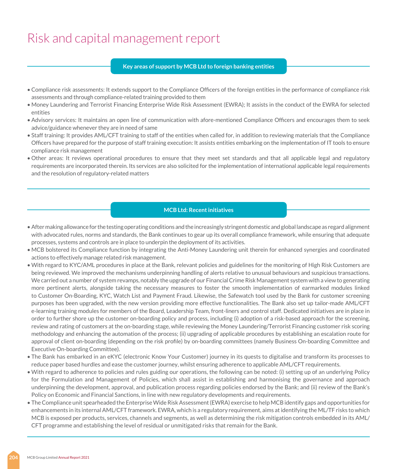#### **Key areas of support by MCB Ltd to foreign banking entities**

- Compliance risk assessments: It extends support to the Compliance Officers of the foreign entities in the performance of compliance risk assessments and through compliance-related training provided to them
- Money Laundering and Terrorist Financing Enterprise Wide Risk Assessment (EWRA); It assists in the conduct of the EWRA for selected entities
- Advisory services: It maintains an open line of communication with afore-mentioned Compliance Officers and encourages them to seek advice/guidance whenever they are in need of same
- Staff training: It provides AML/CFT training to staff of the entities when called for, in addition to reviewing materials that the Compliance Officers have prepared for the purpose of staff training execution: It assists entities embarking on the implementation of IT tools to ensure compliance risk management
- Other areas: It reviews operational procedures to ensure that they meet set standards and that all applicable legal and regulatory requirements are incorporated therein. Its services are also solicited for the implementation of international applicable legal requirements and the resolution of regulatory-related matters

#### **MCB Ltd: Recent initiatives**

- After making allowance for the testing operating conditions and the increasingly stringent domestic and global landscape as regard alignment with advocated rules, norms and standards, the Bank continues to gear up its overall compliance framework, while ensuring that adequate processes, systems and controls are in place to underpin the deployment of its activities.
- MCB bolstered its Compliance function by integrating the Anti-Money Laundering unit therein for enhanced synergies and coordinated actions to effectively manage related risk management.
- With regard to KYC/AML procedures in place at the Bank, relevant policies and guidelines for the monitoring of High Risk Customers are being reviewed. We improved the mechanisms underpinning handling of alerts relative to unusual behaviours and suspicious transactions. We carried out a number of system revamps, notably the upgrade of our Financial Crime Risk Management system with a view to generating more pertinent alerts, alongside taking the necessary measures to foster the smooth implementation of earmarked modules linked to Customer On-Boarding, KYC, Watch List and Payment Fraud. Likewise, the Safewatch tool used by the Bank for customer screening purposes has been upgraded, with the new version providing more effective functionalities. The Bank also set up tailor-made AML/CFT e-learning training modules for members of the Board, Leadership Team, front-liners and control staff. Dedicated initiatives are in place in order to further shore up the customer on-boarding policy and process, including (i) adoption of a risk-based approach for the screening, review and rating of customers at the on-boarding stage, while reviewing the Money Laundering/Terrorist Financing customer risk scoring methodology and enhancing the automation of the process; (ii) upgrading of applicable procedures by establishing an escalation route for approval of client on-boarding (depending on the risk profile) by on-boarding committees (namely Business On-boarding Committee and Executive On-boarding Committee).
- The Bank has embarked in an eKYC (electronic Know Your Customer) journey in its quests to digitalise and transform its processes to reduce paper based hurdles and ease the customer journey, whilst ensuring adherence to applicable AML/CFT requirements.
- With regard to adherence to policies and rules guiding our operations, the following can be noted: (i) setting up of an underlying Policy for the Formulation and Management of Policies, which shall assist in establishing and harmonising the governance and approach underpinning the development, approval, and publication process regarding policies endorsed by the Bank; and (ii) review of the Bank's Policy on Economic and Financial Sanctions, in line with new regulatory developments and requirements.
- The Compliance unit spearheaded the Enterprise Wide Risk Assessment (EWRA) exercise to help MCB identify gaps and opportunities for enhancements in its internal AML/CFT framework. EWRA, which is a regulatory requirement, aims at identifying the ML/TF risks to which MCB is exposed per products, services, channels and segments, as well as determining the risk mitigation controls embedded in its AML/ CFT programme and establishing the level of residual or unmitigated risks that remain for the Bank.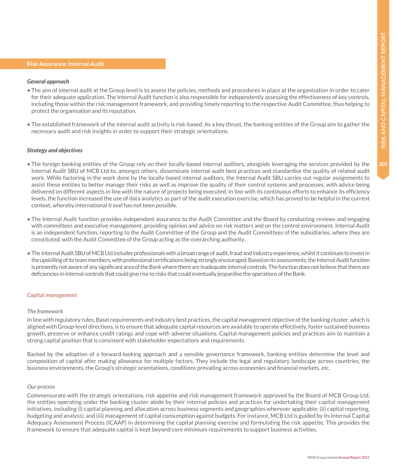#### **Risk Assurance: Internal Audit**

#### *General approach*

- The aim of internal audit at the Group level is to assess the policies, methods and procedures in place at the organisation in order to cater for their adequate application. The Internal Audit function is also responsible for independently assessing the effectiveness of key controls, including those within the risk management framework, and providing timely reporting to the respective Audit Committee, thus helping to protect the organisation and its reputation.
- The established framework of the internal audit activity is risk-based. As a key thrust, the banking entities of the Group aim to gather the necessary audit and risk insights in order to support their strategic orientations.

#### *Strategy and objectives*

- The foreign banking entities of the Group rely on their locally-based internal auditors, alongside leveraging the services provided by the Internal Audit SBU of MCB Ltd to, amongst others, disseminate internal audit best practices and standardise the quality of related audit work. While factoring in the work done by the locally-based internal auditors, the Internal Audit SBU carries out regular assignments to assist these entities to better manage their risks as well as improve the quality of their control systems and processes, with advice being delivered on different aspects in line with the nature of projects being executed. In line with its continuous efforts to enhance its efficiency levels, the function increased the use of data analytics as part of the audit execution exercise, which has proved to be helpful in the current context, whereby international travel has not been possible.
- The Internal Audit function provides independent assurance to the Audit Committee and the Board by conducting reviews and engaging with committees and executive management, providing opinion and advice on risk matters and on the control environment. Internal Audit is an independent function, reporting to the Audit Committee of the Group and the Audit Committees of the subsidiaries, where they are constituted, with the Audit Committee of the Group acting as the overarching authority.
- The Internal Audit SBU of MCB Ltd includes professionals with a broad range of audit, fraud and industry experience, whilst it continues to invest in the upskilling of its team members, with professional certifications being strongly encouraged. Based on its assessments, the Internal Audit function is presently not aware of any significant area of the Bank where there are inadequate internal controls. The function does not believe that there are deficiencies in internal controls that could give rise to risks that could eventually jeopardise the operations of the Bank.

#### *Capital management*

#### *The framework*

In line with regulatory rules, Basel requirements and industry best practices, the capital management objective of the banking cluster, which is aligned with Group-level directions, is to ensure that adequate capital resources are available to operate effectively, foster sustained business growth, preserve or enhance credit ratings and cope with adverse situations. Capital management policies and practices aim to maintain a strong capital position that is consistent with stakeholder expectations and requirements.

Backed by the adoption of a forward-looking approach and a sensible governance framework, banking entities determine the level and composition of capital after making allowance for multiple factors. They include the legal and regulatory landscape across countries, the business environments, the Group's strategic orientations, conditions prevailing across economies and financial markets, etc.

#### *Our process*

Commensurate with the strategic orientations, risk appetite and risk management framework approved by the Board of MCB Group Ltd, the entities operating under the banking cluster abide by their internal policies and practices for undertaking their capital management initiatives, including (i) capital planning and allocation across business segments and geographies wherever applicable; (ii) capital reporting, budgeting and analysis; and (iii) management of capital consumption against budgets. For instance, MCB Ltd is guided by its Internal Capital Adequacy Assessment Process (ICAAP) in determining the capital planning exercise and formulating the risk appetite. This provides the framework to ensure that adequate capital is kept beyond core minimum requirements to support business activities.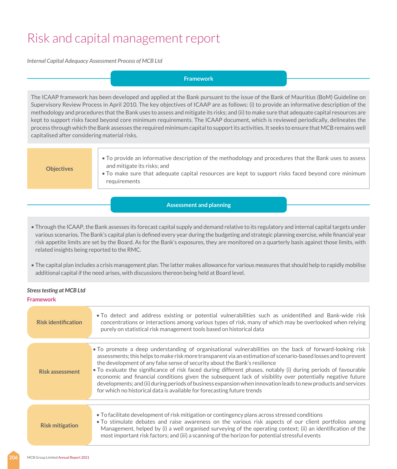*Internal Capital Adequacy Assessment Process of MCB Ltd*

#### **Framework**

The ICAAP framework has been developed and applied at the Bank pursuant to the issue of the Bank of Mauritius (BoM) Guideline on Supervisory Review Process in April 2010. The key objectives of ICAAP are as follows: (i) to provide an informative description of the methodology and procedures that the Bank uses to assess and mitigate its risks; and (ii) to make sure that adequate capital resources are kept to support risks faced beyond core minimum requirements. The ICAAP document, which is reviewed periodically, delineates the process through which the Bank assesses the required minimum capital to support its activities. It seeks to ensure that MCB remains well capitalised after considering material risks.

**Objectives**

• To provide an informative description of the methodology and procedures that the Bank uses to assess and mitigate its risks; and

• To make sure that adequate capital resources are kept to support risks faced beyond core minimum requirements

#### **Assessment and planning**

- Through the ICAAP, the Bank assesses its forecast capital supply and demand relative to its regulatory and internal capital targets under various scenarios. The Bank's capital plan is defined every year during the budgeting and strategic planning exercise, while financial year risk appetite limits are set by the Board. As for the Bank's exposures, they are monitored on a quarterly basis against those limits, with related insights being reported to the RMC.
- The capital plan includes a crisis management plan. The latter makes allowance for various measures that should help to rapidly mobilise additional capital if the need arises, with discussions thereon being held at Board level.

#### *Stress testing at MCB Ltd*

#### **Framework**

| <b>Risk identification</b> | • To detect and address existing or potential vulnerabilities such as unidentified and Bank-wide risk<br>concentrations or interactions among various types of risk, many of which may be overlooked when relying<br>purely on statistical risk management tools based on historical data                                                                                                                                                                                                                                                                                                                                                                                                                                             |
|----------------------------|---------------------------------------------------------------------------------------------------------------------------------------------------------------------------------------------------------------------------------------------------------------------------------------------------------------------------------------------------------------------------------------------------------------------------------------------------------------------------------------------------------------------------------------------------------------------------------------------------------------------------------------------------------------------------------------------------------------------------------------|
| <b>Risk assessment</b>     | • To promote a deep understanding of organisational vulnerabilities on the back of forward-looking risk<br>assessments; this helps to make risk more transparent via an estimation of scenario-based losses and to prevent<br>the development of any false sense of security about the Bank's resilience<br>. To evaluate the significance of risk faced during different phases, notably (i) during periods of favourable<br>economic and financial conditions given the subsequent lack of visibility over potentially negative future<br>developments; and (ii) during periods of business expansion when innovation leads to new products and services<br>for which no historical data is available for forecasting future trends |
|                            |                                                                                                                                                                                                                                                                                                                                                                                                                                                                                                                                                                                                                                                                                                                                       |
| <b>Risk mitigation</b>     | • To facilitate development of risk mitigation or contingency plans across stressed conditions<br>. To stimulate debates and raise awareness on the various risk aspects of our client portfolios among<br>Management, helped by (i) a well organised surveying of the operating context; (ii) an identification of the<br>most important risk factors; and (iii) a scanning of the horizon for potential stressful events                                                                                                                                                                                                                                                                                                            |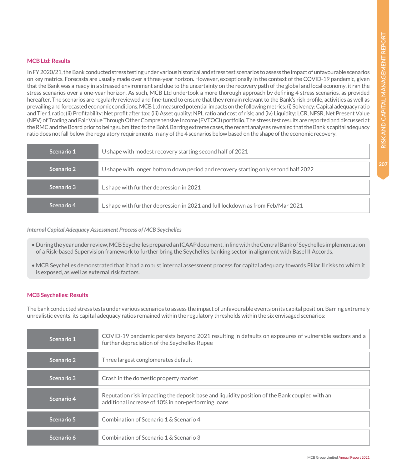#### **MCB Ltd: Results**

In FY 2020/21, the Bank conducted stress testing under various historical and stress test scenarios to assess the impact of unfavourable scenarios on key metrics. Forecasts are usually made over a three-year horizon. However, exceptionally in the context of the COVID-19 pandemic, given that the Bank was already in a stressed environment and due to the uncertainty on the recovery path of the global and local economy, it ran the stress scenarios over a one-year horizon. As such, MCB Ltd undertook a more thorough approach by defining 4 stress scenarios, as provided hereafter. The scenarios are regularly reviewed and fine-tuned to ensure that they remain relevant to the Bank's risk profile, activities as well as prevailing and forecasted economic conditions. MCB Ltd measured potential impacts on the following metrics: (i) Solvency: Capital adequacy ratio and Tier 1 ratio; (ii) Profitability: Net profit after tax; (iii) Asset quality: NPL ratio and cost of risk; and (iv) Liquidity: LCR, NFSR, Net Present Value (NPV) of Trading and Fair Value Through Other Comprehensive Income (FVTOCI) portfolio. The stress test results are reported and discussed at the RMC and the Board prior to being submitted to the BoM. Barring extreme cases, the recent analyses revealed that the Bank's capital adequacy ratio does not fall below the regulatory requirements in any of the 4 scenarios below based on the shape of the economic recovery.

| Scenario 1 | U shape with modest recovery starting second half of 2021                          |
|------------|------------------------------------------------------------------------------------|
| Scenario 2 | U shape with longer bottom down period and recovery starting only second half 2022 |
| Scenario 3 | L shape with further depression in 2021                                            |
| Scenario 4 | L shape with further depression in 2021 and full lockdown as from Feb/Mar 2021     |

#### *Internal Capital Adequacy Assessment Process of MCB Seychelles*

- During the year under review, MCB Seychelles prepared an ICAAP document, in line with the Central Bank of Seychelles implementation of a Risk-based Supervision framework to further bring the Seychelles banking sector in alignment with Basel II Accords.
- MCB Seychelles demonstrated that it had a robust internal assessment process for capital adequacy towards Pillar II risks to which it is exposed, as well as external risk factors.

#### **MCB Seychelles: Results**

The bank conducted stress tests under various scenarios to assess the impact of unfavourable events on its capital position. Barring extremely unrealistic events, its capital adequacy ratios remained within the regulatory thresholds within the six envisaged scenarios:

| Scenario 1 | COVID-19 pandemic persists beyond 2021 resulting in defaults on exposures of vulnerable sectors and a<br>further depreciation of the Seychelles Rupee |
|------------|-------------------------------------------------------------------------------------------------------------------------------------------------------|
| Scenario 2 | Three largest conglomerates default                                                                                                                   |
| Scenario 3 | Crash in the domestic property market                                                                                                                 |
| Scenario 4 | Reputation risk impacting the deposit base and liquidity position of the Bank coupled with an<br>additional increase of 10% in non-performing loans   |
| Scenario 5 | Combination of Scenario 1 & Scenario 4                                                                                                                |
| Scenario 6 | Combination of Scenario 1 & Scenario 3                                                                                                                |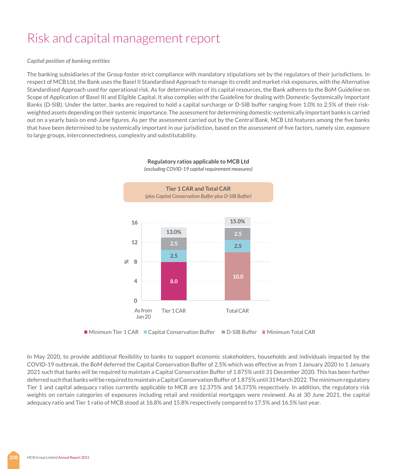#### *Capital position of banking entities*

The banking subsidiaries of the Group foster strict compliance with mandatory stipulations set by the regulators of their jurisdictions. In respect of MCB Ltd, the Bank uses the Basel II Standardised Approach to manage its credit and market risk exposures, with the Alternative Standardised Approach used for operational risk. As for determination of its capital resources, the Bank adheres to the BoM Guideline on Scope of Application of Basel III and Eligible Capital. It also complies with the Guideline for dealing with Domestic-Systemically Important Banks (D-SIB). Under the latter, banks are required to hold a capital surcharge or D-SIB buffer ranging from 1.0% to 2.5% of their riskweighted assets depending on their systemic importance. The assessment for determining domestic-systemically important banks is carried out on a yearly basis on end-June figures. As per the assessment carried out by the Central Bank, MCB Ltd features among the five banks that have been determined to be systemically important in our jurisdiction, based on the assessment of five factors, namely size, exposure to large groups, interconnectedness, complexity and substitutability.



#### **Regulatory ratios applicable to MCB Ltd** *(excluding COVID-19 capital requirement measures)*

 $\blacksquare$  Minimum Tier 1 CAR  $\blacksquare$  Capital Conservation Buffer  $\blacksquare$  D-SIB Buffer  $\blacksquare$  Minimum Total CAR

In May 2020, to provide additional flexibility to banks to support economic stakeholders, households and individuals impacted by the COVID-19 outbreak, the BoM deferred the Capital Conservation Buffer of 2.5% which was effective as from 1 January 2020 to 1 January 2021 such that banks will be required to maintain a Capital Conservation Buffer of 1.875% until 31 December 2020. This has been further deferred such that banks will be required to maintain a Capital Conservation Buffer of 1.875% until 31 March 2022. The minimum regulatory Tier 1 and capital adequacy ratios currently applicable to MCB are 12.375% and 14.375% respectively. In addition, the regulatory risk weights on certain categories of exposures including retail and residential mortgages were reviewed. As at 30 June 2021, the capital adequacy ratio and Tier 1 ratio of MCB stood at 16.8% and 15.8% respectively compared to 17.5% and 16.5% last year.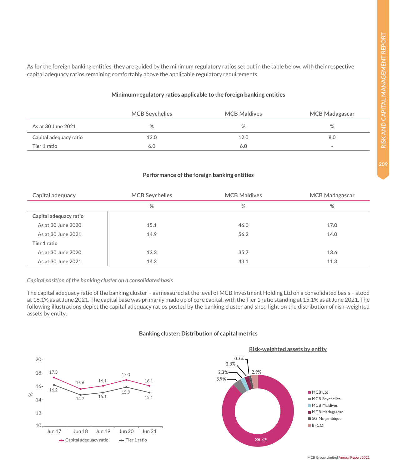As for the foreign banking entities, they are guided by the minimum regulatory ratios set out in the table below, with their respective capital adequacy ratios remaining comfortably above the applicable regulatory requirements.

#### **Minimum regulatory ratios applicable to the foreign banking entities**

|                        | <b>MCB Seychelles</b> | <b>MCB Maldives</b> | MCB Madagascar           |
|------------------------|-----------------------|---------------------|--------------------------|
| As at 30 June 2021     | %                     | %                   | %                        |
| Capital adequacy ratio | 12.0                  | 12.0                | 8.0                      |
| Tier 1 ratio           | 6.0                   | 6.0                 | $\overline{\phantom{a}}$ |

#### **Performance of the foreign banking entities**

| Capital adequacy       | <b>MCB Seychelles</b> | <b>MCB Maldives</b> | <b>MCB Madagascar</b> |
|------------------------|-----------------------|---------------------|-----------------------|
|                        | %                     | %                   | %                     |
| Capital adequacy ratio |                       |                     |                       |
| As at 30 June 2020     | 15.1                  | 46.0                | 17.0                  |
| As at 30 June 2021     | 14.9                  | 56.2                | 14.0                  |
| Tier 1 ratio           |                       |                     |                       |
| As at 30 June 2020     | 13.3                  | 35.7                | 13.6                  |
| As at 30 June 2021     | 14.3                  | 43.1                | 11.3                  |

#### *Capital position of the banking cluster on a consolidated basis*

The capital adequacy ratio of the banking cluster – as measured at the level of MCB Investment Holding Ltd on a consolidated basis – stood at 16.1% as at June 2021. The capital base was primarily made up of core capital, with the Tier 1 ratio standing at 15.1% as at June 2021. The following illustrations depict the capital adequacy ratios posted by the banking cluster and shed light on the distribution of risk-weighted assets by entity.

#### **Banking cluster: Distribution of capital metrics**





MCB Group Limited Annual Report 2021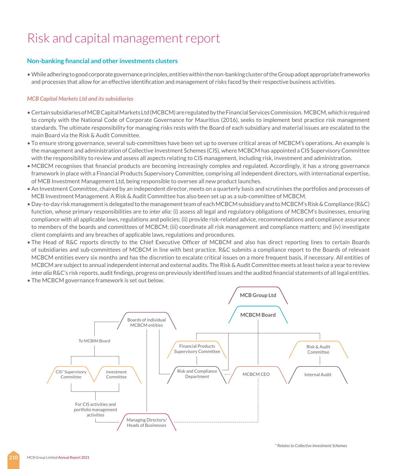#### **Non-banking financial and other investments clusters**

• While adhering to good corporate governance principles, entities within the non-banking cluster of the Group adopt appropriate frameworks and processes that allow for an effective identification and management of risks faced by their respective business activities.

#### *MCB Capital Markets Ltd and its subsidiaries*

- Certain subsidiaries of MCB Capital Markets Ltd (MCBCM) are regulated by the Financial Services Commission. MCBCM, which is required to comply with the National Code of Corporate Governance for Mauritius (2016), seeks to implement best practice risk management standards. The ultimate responsibility for managing risks rests with the Board of each subsidiary and material issues are escalated to the main Board via the Risk & Audit Committee.
- To ensure strong governance, several sub-committees have been set up to oversee critical areas of MCBCM's operations. An example is the management and administration of Collective Investment Schemes (CIS), where MCBCM has appointed a CIS Supervisory Committee with the responsibility to review and assess all aspects relating to CIS management, including risk, investment and administration.
- MCBCM recognises that financial products are becoming increasingly complex and regulated. Accordingly, it has a strong governance framework in place with a Financial Products Supervisory Committee, comprising all independent directors, with international expertise, of MCB Investment Management Ltd, being responsible to oversee all new product launches.
- An Investment Committee, chaired by an independent director, meets on a quarterly basis and scrutinises the portfolios and processes of MCB Investment Management. A Risk & Audit Committee has also been set up as a sub-committee of MCBCM.
- Day-to-day risk management is delegated to the management team of each MCBCM subsidiary and to MCBCM's Risk & Compliance (R&C) function, whose primary responsibilities are to *inter alia*: (i) assess all legal and regulatory obligations of MCBCM's businesses, ensuring compliance with all applicable laws, regulations and policies; (ii) provide risk-related advice, recommendations and compliance assurance to members of the boards and committees of MCBCM; (iii) coordinate all risk management and compliance matters; and (iv) investigate client complaints and any breaches of applicable laws, regulations and procedures.
- The Head of R&C reports directly to the Chief Executive Officer of MCBCM and also has direct reporting lines to certain Boards of subsidiaries and sub-committees of MCBCM in line with best practice. R&C submits a compliance report to the Boards of relevant MCBCM entities every six months and has the discretion to escalate critical issues on a more frequent basis, if necessary. All entities of MCBCM are subject to annual independent internal and external audits. The Risk & Audit Committee meets at least twice a year to review *inter alia* R&C's risk reports, audit findings, progress on previously identified issues and the audited financial statements of all legal entities.
- The MCBCM governance framework is set out below.

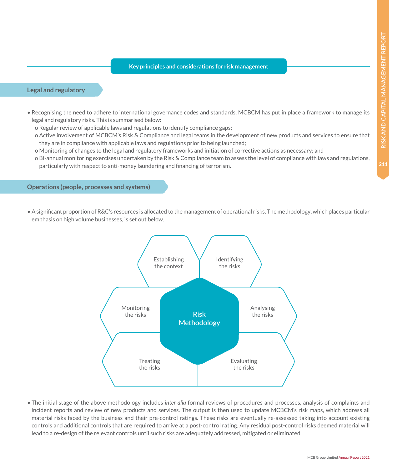**Key principles and considerations for risk management**

#### **Legal and regulatory**

- Recognising the need to adhere to international governance codes and standards, MCBCM has put in place a framework to manage its legal and regulatory risks. This is summarised below:
	- o Regular review of applicable laws and regulations to identify compliance gaps;
	- o Active involvement of MCBCM's Risk & Compliance and legal teams in the development of new products and services to ensure that they are in compliance with applicable laws and regulations prior to being launched;
	- o Monitoring of changes to the legal and regulatory frameworks and initiation of corrective actions as necessary; and
	- o Bi-annual monitoring exercises undertaken by the Risk & Compliance team to assess the level of compliance with laws and regulations, particularly with respect to anti-money laundering and financing of terrorism.

#### **Operations (people, processes and systems)**

• A significant proportion of R&C's resources is allocated to the management of operational risks. The methodology, which places particular emphasis on high volume businesses, is set out below.



• The initial stage of the above methodology includes *inter alia* formal reviews of procedures and processes, analysis of complaints and incident reports and review of new products and services. The output is then used to update MCBCM's risk maps, which address all material risks faced by the business and their pre-control ratings. These risks are eventually re-assessed taking into account existing controls and additional controls that are required to arrive at a post-control rating. Any residual post-control risks deemed material will lead to a re-design of the relevant controls until such risks are adequately addressed, mitigated or eliminated.